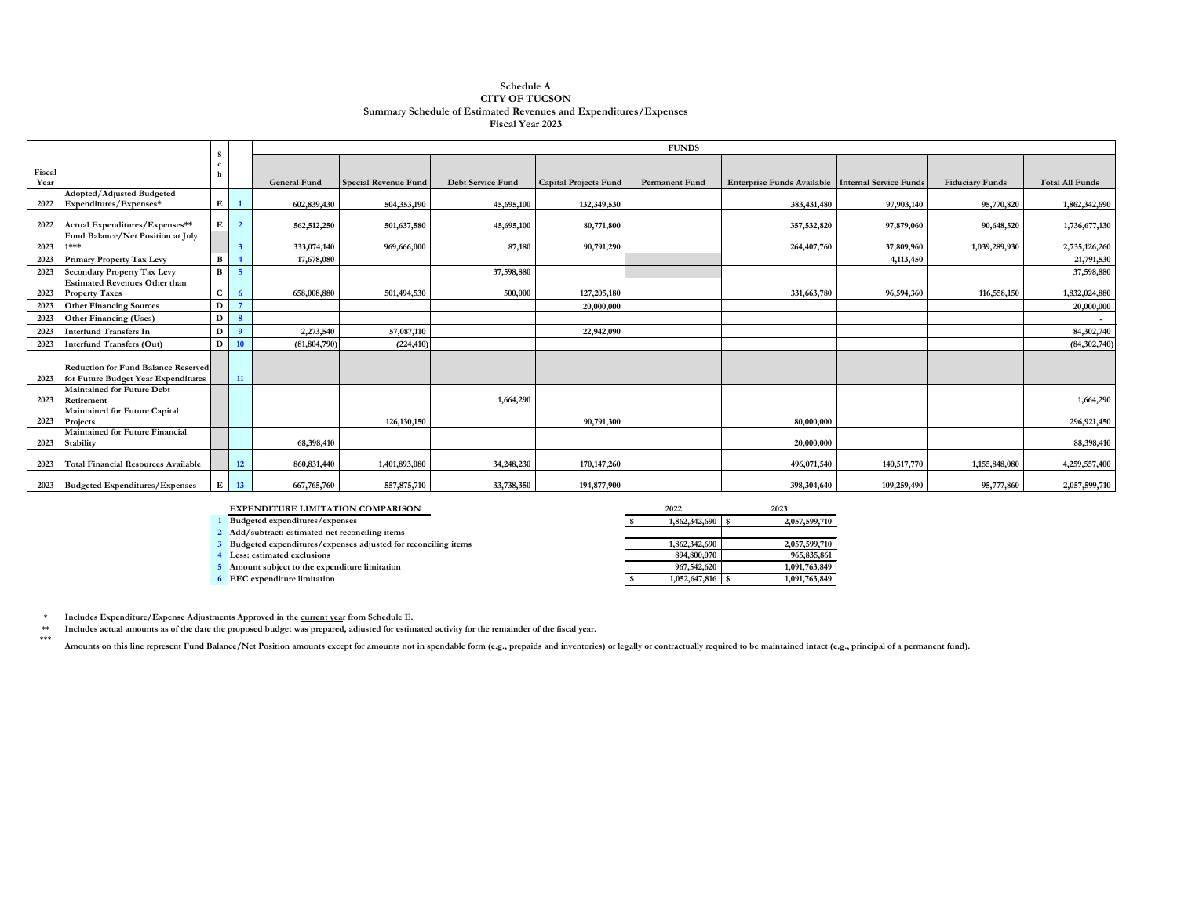**\*\*\*** Amounts on this line represent Fund Balance/Net Position amounts except for amounts not in spendable form (e.g., prepaids and inventories) or legally or contractually required to be maintained intact (e.g., principal of a

|                                                             |              |                |                     |                             |                   |                              | <b>FUNDS</b>          |                                                     |             |                        |                 |
|-------------------------------------------------------------|--------------|----------------|---------------------|-----------------------------|-------------------|------------------------------|-----------------------|-----------------------------------------------------|-------------|------------------------|-----------------|
|                                                             |              |                |                     |                             |                   |                              |                       |                                                     |             |                        |                 |
| Fiscal                                                      |              |                |                     |                             |                   |                              |                       |                                                     |             |                        |                 |
| Year                                                        |              |                | <b>General Fund</b> | <b>Special Revenue Fund</b> | Debt Service Fund | <b>Capital Projects Fund</b> | <b>Permanent Fund</b> | Enterprise Funds Available   Internal Service Funds |             | <b>Fiduciary Funds</b> | Total All Funds |
| Adopted/Adjusted Budgeted<br>Expenditures/Expenses*<br>2022 | E            |                | 602,839,430         | 504,353,190                 | 45,695,100        | 132,349,530                  |                       | 383,431,480                                         | 97,903,140  | 95,770,820             | 1,862,342,690   |
|                                                             |              |                |                     |                             |                   |                              |                       |                                                     |             |                        |                 |
| Actual Expenditures/Expenses**<br>2022                      | $\mathbf{E}$ | $\overline{2}$ | 562,512,250         | 501,637,580                 | 45,695,100        | 80,771,800                   |                       | 357,532,820                                         | 97,879,060  | 90,648,520             | 1,736,677,130   |
| Fund Balance/Net Position at July                           |              |                |                     |                             |                   |                              |                       |                                                     |             |                        |                 |
| $1***$<br>2023                                              |              | 3              | 333,074,140         | 969,666,000                 | 87,180            | 90,791,290                   |                       | 264,407,760                                         | 37,809,960  | 1,039,289,930          | 2,735,126,260   |
| <b>Primary Property Tax Levy</b><br>2023                    | $\mathbf{B}$ |                | 17,678,080          |                             |                   |                              |                       |                                                     | 4,113,450   |                        | 21,791,530      |
| <b>Secondary Property Tax Levy</b><br>2023                  | $\mathbf{B}$ | $\overline{5}$ |                     |                             | 37,598,880        |                              |                       |                                                     |             |                        | 37,598,880      |
| <b>Estimated Revenues Other than</b>                        |              |                |                     |                             |                   |                              |                       |                                                     |             |                        |                 |
| <b>Property Taxes</b><br>2023                               | $\mathbf C$  |                | 658,008,880         | 501,494,530                 | 500,000           | 127,205,180                  |                       | 331,663,780                                         | 96,594,360  | 116,558,150            | 1,832,024,880   |
| <b>Other Financing Sources</b><br>2023                      | D            |                |                     |                             |                   | 20,000,000                   |                       |                                                     |             |                        | 20,000,000      |
| <b>Other Financing (Uses)</b><br>2023                       | D            | $\mathbf{8}$   |                     |                             |                   |                              |                       |                                                     |             |                        | $\sim$          |
| <b>Interfund Transfers In</b><br>2023                       | $\mathbf{D}$ | $\mathbf{Q}$   | 2,273,540           | 57,087,110                  |                   | 22,942,090                   |                       |                                                     |             |                        | 84,302,740      |
| <b>Interfund Transfers (Out)</b><br>2023                    | D            | <b>10</b>      | (81, 804, 790)      | (224, 410)                  |                   |                              |                       |                                                     |             |                        | (84, 302, 740)  |
|                                                             |              |                |                     |                             |                   |                              |                       |                                                     |             |                        |                 |
| <b>Reduction for Fund Balance Reserved</b>                  |              |                |                     |                             |                   |                              |                       |                                                     |             |                        |                 |
| for Future Budget Year Expenditures<br>2023                 |              | <b>11</b>      |                     |                             |                   |                              |                       |                                                     |             |                        |                 |
| <b>Maintained for Future Debt</b>                           |              |                |                     |                             |                   |                              |                       |                                                     |             |                        |                 |
| 2023<br>Retirement                                          |              |                |                     |                             | 1,664,290         |                              |                       |                                                     |             |                        | 1,664,290       |
| Maintained for Future Capital                               |              |                |                     |                             |                   |                              |                       |                                                     |             |                        |                 |
| 2023<br>Projects                                            |              |                |                     | 126, 130, 150               |                   | 90,791,300                   |                       | 80,000,000                                          |             |                        | 296,921,450     |
| <b>Maintained for Future Financial</b><br>2023<br>Stability |              |                | 68,398,410          |                             |                   |                              |                       | 20,000,000                                          |             |                        | 88,398,410      |
|                                                             |              |                |                     |                             |                   |                              |                       |                                                     |             |                        |                 |
| <b>Total Financial Resources Available</b><br>2023          |              | <b>12</b>      | 860, 831, 440       | 1,401,893,080               | 34,248,230        | 170, 147, 260                |                       | 496,071,540                                         | 140,517,770 | 1,155,848,080          | 4,259,557,400   |
| <b>Budgeted Expenditures/Expenses</b><br>2023               | E            | 13             | 667,765,760         | 557,875,710                 | 33,738,350        | 194,877,900                  |                       | 398,304,640                                         | 109,259,490 | 95,777,860             | 2,057,599,710   |

| <b>EXPENDITURE LIMITATION COMPARISON</b>                      | 2022                   | 2023          |
|---------------------------------------------------------------|------------------------|---------------|
| Budgeted expenditures/expenses                                | $1,862,342,690$ \ \ \$ | 2,057,599,710 |
| 2 Add/subtract: estimated net reconciling items               |                        |               |
| Budgeted expenditures/expenses adjusted for reconciling items | 1,862,342,690          | 2,057,599,710 |
| Less: estimated exclusions                                    | 894,800,070            | 965,835,861   |
| Amount subject to the expenditure limitation                  | 967,542,620            | 1,091,763,849 |
| <b>EEC</b> expenditure limitation                             |                        | 1,091,763,849 |

**\* Includes Expenditure/Expense Adjustments Approved in the current year from Schedule E.** 

**\*\* Includes actual amounts as of the date the proposed budget was prepared, adjusted for estimated activity for the remainder of the fiscal year.**

## **Schedule A CITY OF TUCSON Summary Schedule of Estimated Revenues and Expenditures/Expenses Fiscal Year 2023**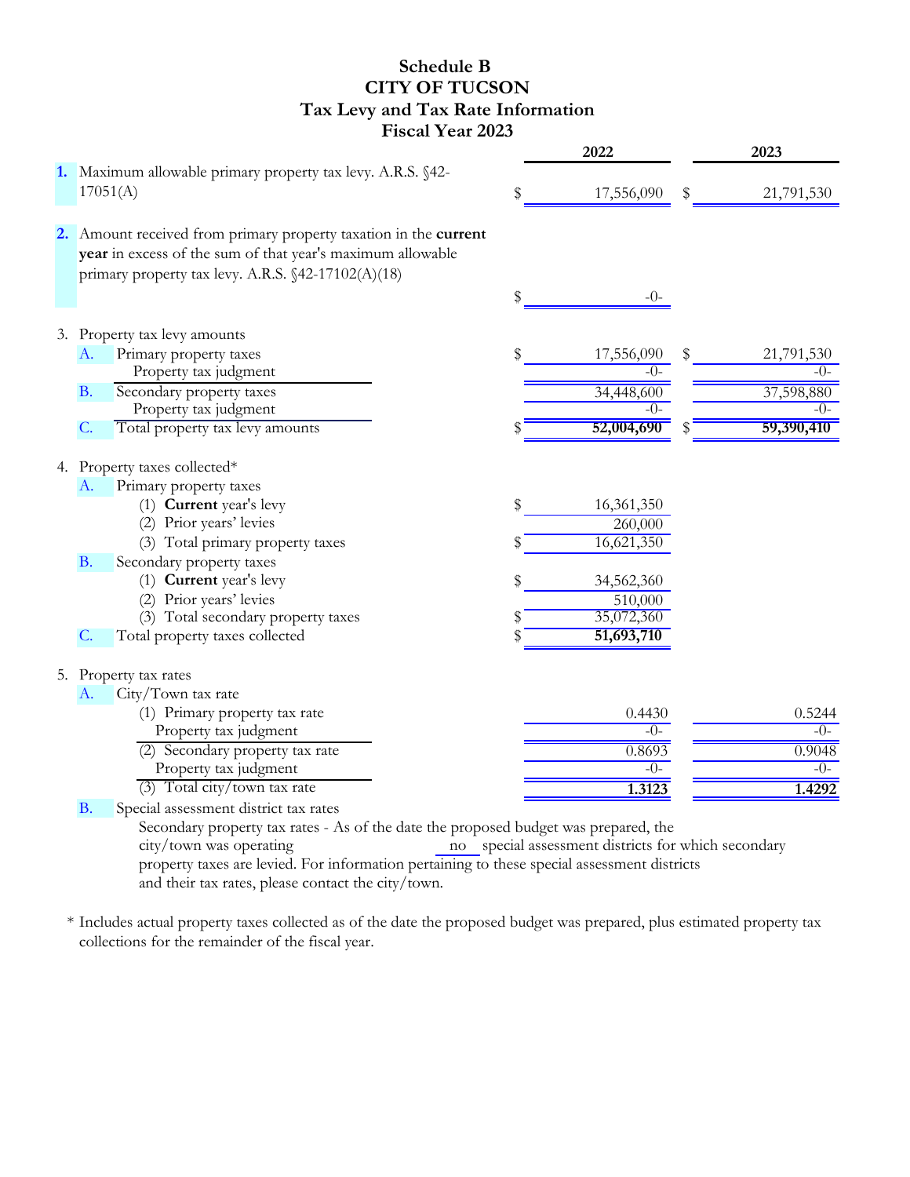#### **Schedule B CITY OF TUCSON Tax Levy and Tax Rate Information Fiscal Year 2023**

|                                                                                                                                                                                      | 2022             | 2023             |
|--------------------------------------------------------------------------------------------------------------------------------------------------------------------------------------|------------------|------------------|
| 1. Maximum allowable primary property tax levy. A.R.S. §42-<br>17051(A)                                                                                                              | \$<br>17,556,090 | \$<br>21,791,530 |
| 2. Amount received from primary property taxation in the current<br>year in excess of the sum of that year's maximum allowable<br>primary property tax levy. A.R.S. §42-17102(A)(18) |                  |                  |
|                                                                                                                                                                                      | \$<br>$-()$      |                  |
| 3. Property tax levy amounts                                                                                                                                                         |                  |                  |
| Primary property taxes<br>A.                                                                                                                                                         | \$<br>17,556,090 | \$<br>21,791,530 |
| Property tax judgment                                                                                                                                                                | $-()$ -          | -0-              |
| Secondary property taxes<br><b>B.</b>                                                                                                                                                | 34,448,600       | 37,598,880       |
| Property tax judgment                                                                                                                                                                | -0-              | $-()$            |
| Total property tax levy amounts<br>$\mathcal{C}$ .                                                                                                                                   | 52,004,690       | 59,390,410       |
| 4. Property taxes collected*                                                                                                                                                         |                  |                  |
| Primary property taxes<br>A.                                                                                                                                                         |                  |                  |
| (1) Current year's levy                                                                                                                                                              | \$<br>16,361,350 |                  |
| (2) Prior years' levies                                                                                                                                                              | 260,000          |                  |
| (3) Total primary property taxes                                                                                                                                                     | 16,621,350       |                  |
| <b>B.</b><br>Secondary property taxes                                                                                                                                                |                  |                  |
| (1) Current year's levy                                                                                                                                                              | \$<br>34,562,360 |                  |
| (2) Prior years' levies                                                                                                                                                              | 510,000          |                  |
| (3) Total secondary property taxes                                                                                                                                                   | 35,072,360       |                  |
| Total property taxes collected<br>$\mathcal{C}$ .                                                                                                                                    | 51,693,710       |                  |
| 5. Property tax rates                                                                                                                                                                |                  |                  |
| City/Town tax rate<br>A.                                                                                                                                                             |                  |                  |
| (1) Primary property tax rate                                                                                                                                                        | 0.4430           | 0.5244           |
| Property tax judgment                                                                                                                                                                | $-()$ -          | $-0-$            |
| (2) Secondary property tax rate                                                                                                                                                      | 0.8693           | 0.9048           |
| Property tax judgment                                                                                                                                                                | $-()$ -          | $-0-$            |
| (3) Total city/town tax rate                                                                                                                                                         | 1.3123           | 1.4292           |
| Special assessment district tax rates<br><b>B.</b>                                                                                                                                   |                  |                  |
| Secondary property tax rates - As of the date the proposed budget was prepared, the<br>city/town was operating and the concelled assessment districts for which secondary            |                  |                  |

no special assessment districts for which secondary property taxes are levied. For information pertaining to these special assessment districts and their tax rates, please contact the city/town. city/town was operating

\* Includes actual property taxes collected as of the date the proposed budget was prepared, plus estimated property tax collections for the remainder of the fiscal year.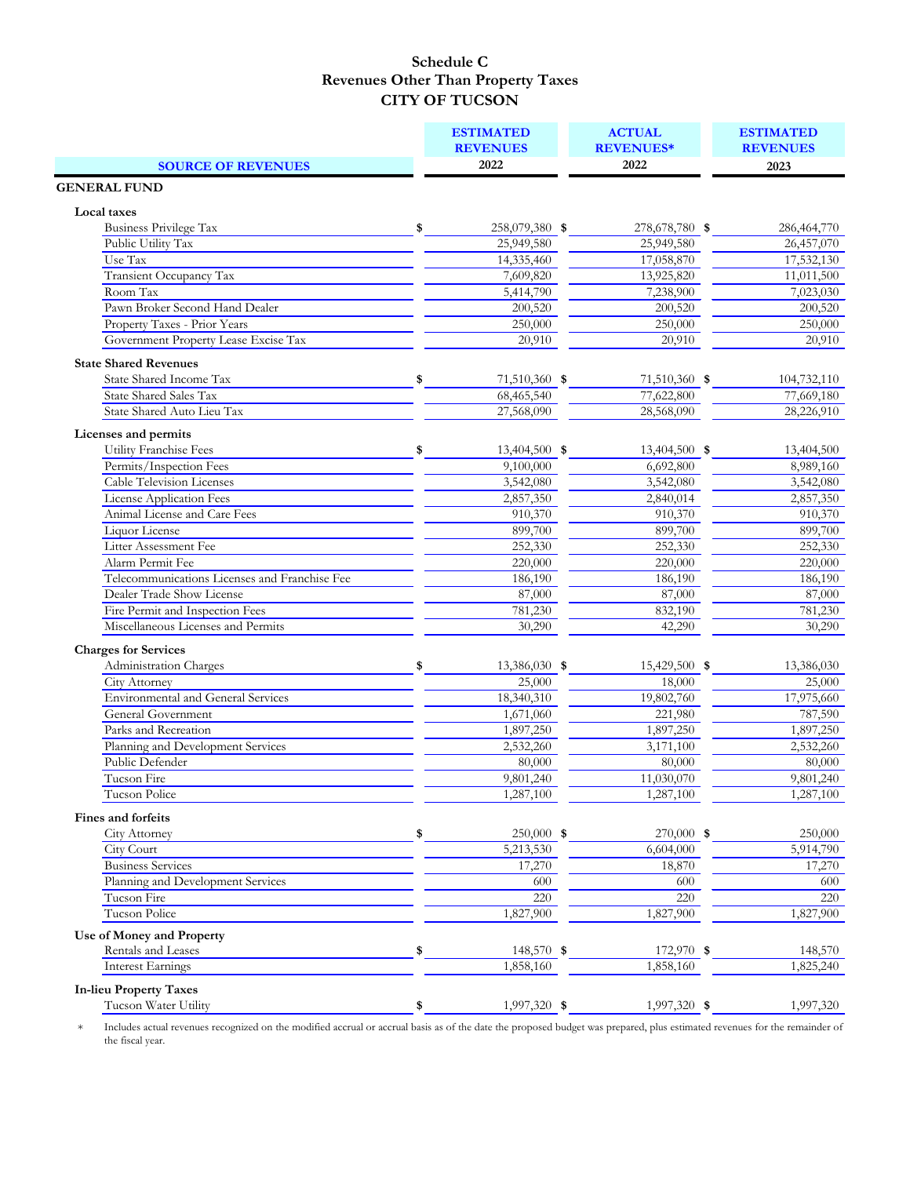|                                               | <b>ESTIMATED</b>     | <b>ACTUAL</b>    | <b>ESTIMATED</b> |
|-----------------------------------------------|----------------------|------------------|------------------|
|                                               | <b>REVENUES</b>      | <b>REVENUES*</b> | <b>REVENUES</b>  |
| <b>SOURCE OF REVENUES</b>                     | 2022                 | 2022             | 2023             |
| <b>GENERAL FUND</b>                           |                      |                  |                  |
| Local taxes                                   |                      |                  |                  |
| Business Privilege Tax                        | \$<br>258,079,380 \$ | 278,678,780 \$   | 286,464,770      |
| Public Utility Tax                            | 25,949,580           | 25,949,580       | 26,457,070       |
| Use Tax                                       | 14,335,460           | 17,058,870       | 17,532,130       |
| Transient Occupancy Tax                       | 7,609,820            | 13,925,820       | 11,011,500       |
| Room Tax                                      | 5,414,790            | 7,238,900        | 7,023,030        |
| Pawn Broker Second Hand Dealer                | 200,520              | 200,520          | 200,520          |
| Property Taxes - Prior Years                  | 250,000              | 250,000          | 250,000          |
| Government Property Lease Excise Tax          | 20,910               | 20,910           | 20,910           |
| <b>State Shared Revenues</b>                  |                      |                  |                  |
| <b>State Shared Income Tax</b>                | \$<br>71,510,360 \$  | 71,510,360 \$    | 104,732,110      |
| <b>State Shared Sales Tax</b>                 | 68,465,540           | 77,622,800       | 77,669,180       |
| State Shared Auto Lieu Tax                    | 27,568,090           | 28,568,090       | 28,226,910       |
| Licenses and permits                          |                      |                  |                  |
| Utility Franchise Fees                        | \$<br>13,404,500 \$  | 13,404,500 \$    | 13,404,500       |
| Permits/Inspection Fees                       | 9,100,000            | 6,692,800        | 8,989,160        |
| <b>Cable Television Licenses</b>              | 3,542,080            | 3,542,080        | 3,542,080        |
| <b>License Application Fees</b>               | 2,857,350            | 2,840,014        | 2,857,350        |
| Animal License and Care Fees                  | 910,370              | 910,370          | 910,370          |
| Liquor License                                | 899,700              | 899,700          | 899,700          |
| Litter Assessment Fee                         | 252,330              | 252,330          | 252,330          |
| Alarm Permit Fee                              | 220,000              | 220,000          | 220,000          |
| Telecommunications Licenses and Franchise Fee | 186,190              | 186,190          | 186,190          |
| Dealer Trade Show License                     | 87,000               | 87,000           | 87,000           |
| Fire Permit and Inspection Fees               | 781,230              | 832,190          | 781,230          |
| Miscellaneous Licenses and Permits            | 30,290               | 42,290           | 30,290           |
| <b>Charges for Services</b>                   |                      |                  |                  |
| Administration Charges                        | \$<br>13,386,030 \$  | 15,429,500 \$    | 13,386,030       |
| City Attorney                                 | 25,000               | 18,000           | 25,000           |
| <b>Environmental and General Services</b>     | 18,340,310           | 19,802,760       | 17,975,660       |
| General Government                            | 1,671,060            | 221,980          | 787,590          |
| Parks and Recreation                          | 1,897,250            | 1,897,250        | 1,897,250        |
| Planning and Development Services             | 2,532,260            | 3,171,100        | 2,532,260        |
| Public Defender                               | 80,000               | 80,000           | 80,000           |
| Tucson Fire                                   | 9,801,240            | 11,030,070       | 9,801,240        |
| <b>Tucson Police</b>                          | 1,287,100            | 1,287,100        | 1,287,100        |
| Fines and forfeits                            |                      |                  |                  |
| City Attorney                                 | \$<br>250,000 \$     | 270,000 \$       | 250,000          |
| City Court                                    | 5,213,530            | 6,604,000        | 5,914,790        |
| <b>Business Services</b>                      | 17,270               | 18,870           | 17,270           |
| Planning and Development Services             | 600                  | 600              | 600              |
| Tucson Fire                                   | 220                  | 220              | 220              |
| Tucson Police                                 | 1,827,900            | 1,827,900        | 1,827,900        |
| Use of Money and Property                     |                      |                  |                  |
| Rentals and Leases                            | \$<br>148,570 \$     | 172,970 \$       | 148,570          |
| <b>Interest Earnings</b>                      | 1,858,160            | 1,858,160        | 1,825,240        |
| <b>In-lieu Property Taxes</b>                 |                      |                  |                  |
| Tucson Water Utility                          | \$<br>1,997,320 \$   | 1,997,320 \$     | 1,997,320        |
|                                               |                      |                  |                  |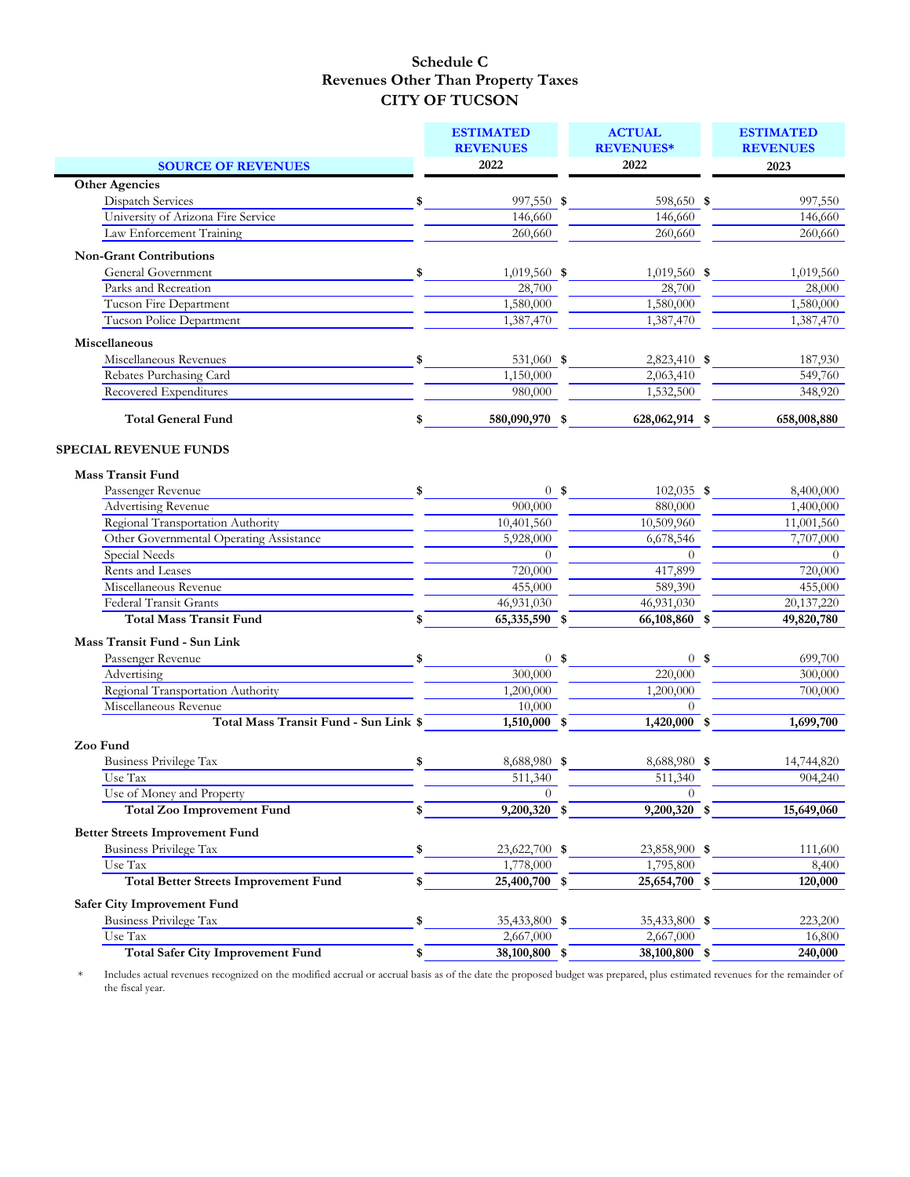|                                              |    | <b>ESTIMATED</b><br><b>REVENUES</b> |        | <b>ACTUAL</b><br><b>REVENUES*</b> | <b>ESTIMATED</b><br><b>REVENUES</b> |
|----------------------------------------------|----|-------------------------------------|--------|-----------------------------------|-------------------------------------|
| <b>SOURCE OF REVENUES</b>                    |    | 2022                                |        | 2022                              | 2023                                |
| <b>Other Agencies</b>                        |    |                                     |        |                                   |                                     |
| Dispatch Services                            | \$ | 997,550 \$                          |        | 598,650 \$                        | 997,550                             |
| University of Arizona Fire Service           |    | 146,660                             |        | 146,660                           | 146,660                             |
| Law Enforcement Training                     |    | 260,660                             |        | 260,660                           | 260,660                             |
| <b>Non-Grant Contributions</b>               |    |                                     |        |                                   |                                     |
| General Government                           | S. | $1,019,560$ \$                      |        | $1,019,560$ \$                    | 1,019,560                           |
| Parks and Recreation                         |    | 28,700                              |        | 28,700                            | 28,000                              |
| Tucson Fire Department                       |    | 1,580,000                           |        | 1,580,000                         | 1,580,000                           |
| Tucson Police Department                     |    | 1,387,470                           |        | 1,387,470                         | 1,387,470                           |
| Miscellaneous                                |    |                                     |        |                                   |                                     |
| Miscellaneous Revenues                       | \$ | 531,060 \$                          |        | 2,823,410 \$                      | 187,930                             |
| Rebates Purchasing Card                      |    | 1,150,000                           |        | 2,063,410                         | 549,760                             |
| Recovered Expenditures                       |    | 980,000                             |        | 1,532,500                         | 348,920                             |
| <b>Total General Fund</b>                    | \$ | 580,090,970 \$                      |        | 628,062,914 \$                    | 658,008,880                         |
| SPECIAL REVENUE FUNDS                        |    |                                     |        |                                   |                                     |
| <b>Mass Transit Fund</b>                     |    |                                     |        |                                   |                                     |
| Passenger Revenue                            | \$ |                                     | $0$ \$ | 102,035 \$                        | 8,400,000                           |
| <b>Advertising Revenue</b>                   |    | 900,000                             |        | 880,000                           | 1,400,000                           |
| Regional Transportation Authority            |    | 10,401,560                          |        | 10,509,960                        | 11,001,560                          |
| Other Governmental Operating Assistance      |    | 5,928,000                           |        | 6,678,546                         | 7,707,000                           |
| Special Needs                                |    | $\Omega$                            |        | $\theta$                          | $\Omega$                            |
| Rents and Leases                             |    | 720,000                             |        | 417,899                           | 720,000                             |
| Miscellaneous Revenue                        |    | 455,000                             |        | 589,390                           | 455,000                             |
| <b>Federal Transit Grants</b>                |    | 46,931,030                          |        | 46,931,030                        | 20,137,220                          |
| <b>Total Mass Transit Fund</b>               | \$ | 65,335,590 \$                       |        | 66,108,860 \$                     | 49,820,780                          |
| Mass Transit Fund - Sun Link                 |    |                                     |        |                                   |                                     |
| Passenger Revenue                            | \$ |                                     | $0$ \$ | $0$ \$                            | 699,700                             |
| Advertising                                  |    | 300,000                             |        | 220,000                           | 300,000                             |
| Regional Transportation Authority            |    | 1,200,000                           |        | 1,200,000                         | 700,000                             |
| Miscellaneous Revenue                        |    | 10,000                              |        | $\theta$                          |                                     |
| Total Mass Transit Fund - Sun Link \$        |    | $1,510,000$ \$                      |        | $1,420,000$ \$                    | 1,699,700                           |
| Zoo Fund                                     |    |                                     |        |                                   |                                     |
| Business Privilege Tax                       | \$ | 8,688,980 \$                        |        | 8,688,980 \$                      | 14,744,820                          |
| Use Tax                                      |    | 511,340                             |        | 511,340                           | 904,240                             |
| Use of Money and Property                    |    | $\theta$                            |        | $\theta$                          |                                     |
| <b>Total Zoo Improvement Fund</b>            | \$ | 9,200,320 \$                        |        | 9,200,320 \$                      | 15,649,060                          |
| <b>Better Streets Improvement Fund</b>       |    |                                     |        |                                   |                                     |
| <b>Business Privilege Tax</b>                | \$ | 23,622,700 \$                       |        | 23,858,900 \$                     | 111,600                             |
| Use Tax                                      |    | 1,778,000                           |        | 1,795,800                         | 8,400                               |
| <b>Total Better Streets Improvement Fund</b> | \$ | 25,400,700 \$                       |        | 25,654,700 \$                     | 120,000                             |
| <b>Safer City Improvement Fund</b>           |    |                                     |        |                                   |                                     |
| <b>Business Privilege Tax</b>                | \$ | 35,433,800 \$                       |        | 35,433,800 \$                     | 223,200                             |
| Use Tax                                      |    | 2,667,000                           |        | 2,667,000                         | 16,800                              |
| <b>Total Safer City Improvement Fund</b>     | \$ | 38,100,800 \$                       |        | 38,100,800 \$                     | 240,000                             |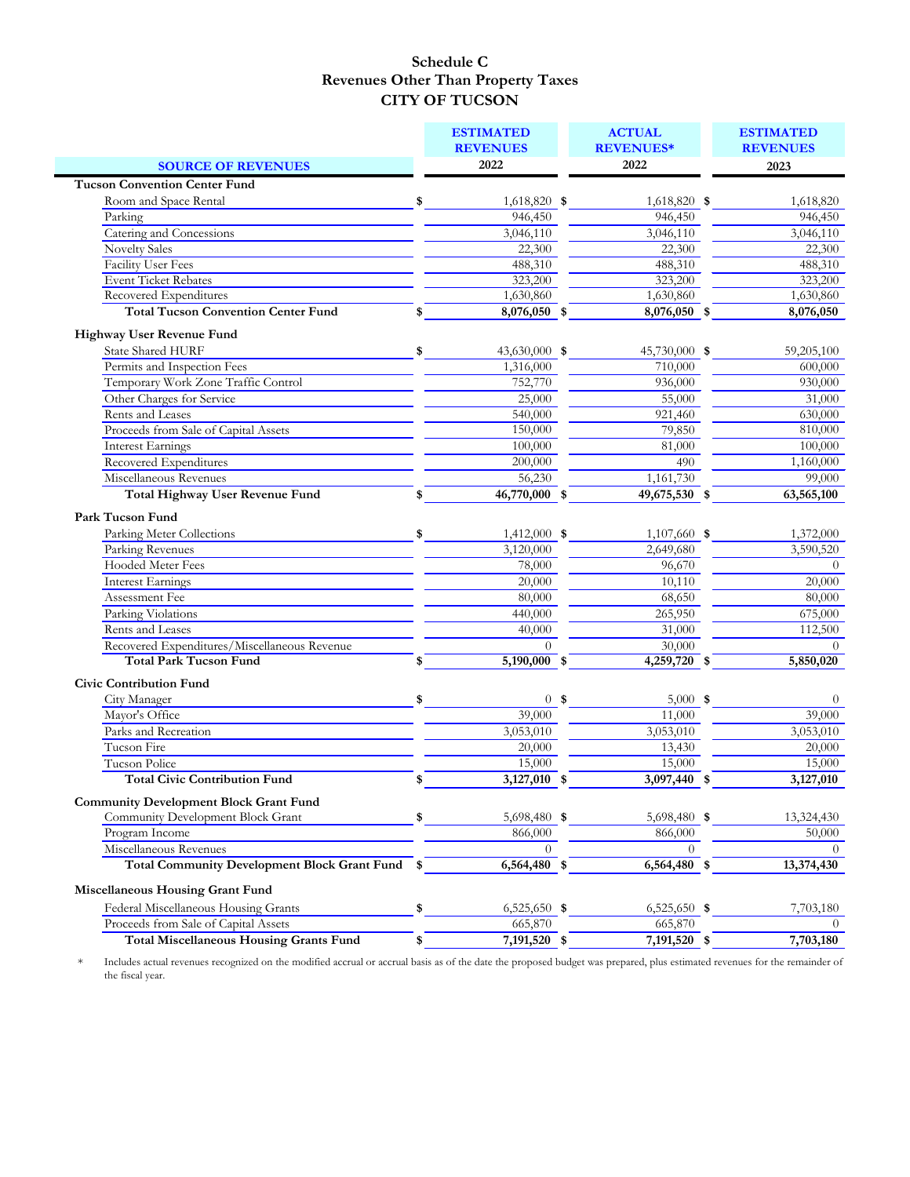|                                                                               |     | <b>ESTIMATED</b><br><b>REVENUES</b> |                | <b>ACTUAL</b><br><b>REVENUES*</b> | <b>ESTIMATED</b><br><b>REVENUES</b> |
|-------------------------------------------------------------------------------|-----|-------------------------------------|----------------|-----------------------------------|-------------------------------------|
|                                                                               |     | 2022                                |                | 2022                              | 2023                                |
| <b>SOURCE OF REVENUES</b><br><b>Tucson Convention Center Fund</b>             |     |                                     |                |                                   |                                     |
|                                                                               |     |                                     |                |                                   |                                     |
| Room and Space Rental                                                         | \$  | 1,618,820 \$                        |                | 1,618,820 \$                      | 1,618,820                           |
| Parking<br><b>Catering and Concessions</b>                                    |     | 946,450                             |                | 946,450                           | 946,450                             |
|                                                                               |     | 3,046,110                           |                | 3,046,110                         | 3,046,110                           |
| <b>Novelty Sales</b>                                                          |     | 22,300                              |                | 22,300                            | 22,300                              |
| <b>Facility User Fees</b><br><b>Event Ticket Rebates</b>                      |     | 488,310                             |                | 488,310                           | 488,310                             |
| Recovered Expenditures                                                        |     | 323,200<br>1,630,860                |                | 323,200<br>1,630,860              | 323,200                             |
| <b>Total Tucson Convention Center Fund</b>                                    |     | 8,076,050 \$                        |                | 8,076,050 \$                      | 1,630,860<br>8,076,050              |
|                                                                               | \$  |                                     |                |                                   |                                     |
| Highway User Revenue Fund                                                     |     |                                     |                |                                   |                                     |
| <b>State Shared HURF</b>                                                      | \$  | 43,630,000 \$                       |                | 45,730,000 \$                     | 59,205,100                          |
| Permits and Inspection Fees                                                   |     | 1,316,000                           |                | 710,000                           | 600,000                             |
| Temporary Work Zone Traffic Control                                           |     | 752,770                             |                | 936,000                           | 930,000                             |
| Other Charges for Service                                                     |     | 25,000                              |                | 55,000                            | 31,000                              |
| Rents and Leases                                                              |     | 540,000                             |                | 921,460                           | 630,000                             |
| Proceeds from Sale of Capital Assets                                          |     | 150,000                             |                | 79,850                            | 810,000                             |
| <b>Interest Earnings</b>                                                      |     | 100,000                             |                | 81,000                            | 100,000                             |
| Recovered Expenditures                                                        |     | 200,000                             |                | 490                               | 1,160,000                           |
| Miscellaneous Revenues                                                        |     | 56,230                              |                | 1,161,730                         | 99,000                              |
| <b>Total Highway User Revenue Fund</b>                                        | \$  | $\overline{46,770,000}$ \$          |                | 49,675,530 \$                     | 63,565,100                          |
| <b>Park Tucson Fund</b>                                                       |     |                                     |                |                                   |                                     |
| Parking Meter Collections                                                     | \$  | $1,412,000$ \$                      |                | $1,107,660$ \$                    | 1,372,000                           |
| Parking Revenues                                                              |     | 3,120,000                           |                | 2,649,680                         | 3,590,520                           |
| Hooded Meter Fees                                                             |     | 78,000                              |                | 96,670                            | $\Omega$                            |
| Interest Earnings                                                             |     | 20,000                              |                | 10,110                            | 20,000                              |
| Assessment Fee                                                                |     | 80,000                              |                |                                   |                                     |
|                                                                               |     |                                     |                | 68,650                            | 80,000                              |
| Parking Violations<br>Rents and Leases                                        |     | 440,000                             |                | 265,950                           | 675,000                             |
|                                                                               |     | 40,000                              |                | 31,000                            | 112,500                             |
| Recovered Expenditures/Miscellaneous Revenue<br><b>Total Park Tucson Fund</b> |     | $\left( \right)$                    |                | 30,000                            | $\Omega$                            |
|                                                                               | S   | 5,190,000 \$                        |                | 4,259,720 \$                      | 5,850,020                           |
| <b>Civic Contribution Fund</b>                                                |     |                                     |                |                                   |                                     |
| City Manager                                                                  | \$  |                                     | 0 <sup>5</sup> | $5,000$ \$                        | $\theta$                            |
| Mayor's Office                                                                |     | 39,000                              |                | 11,000                            | 39,000                              |
| Parks and Recreation                                                          |     | $\overline{3,053,010}$              |                | 3,053,010                         | $\overline{3,}053,010$              |
| Tucson Fire                                                                   |     | 20,000                              |                | 13,430                            | 20,000                              |
| <b>Tucson Police</b>                                                          |     | 15,000                              |                | 15,000                            | 15,000                              |
| <b>Total Civic Contribution Fund</b>                                          | \$  | 3,127,010 \$                        |                | 3,097,440 \$                      | 3,127,010                           |
| <b>Community Development Block Grant Fund</b>                                 |     |                                     |                |                                   |                                     |
| Community Development Block Grant                                             | \$  | 5,698,480 \$                        |                | 5,698,480 \$                      | 13,324,430                          |
| Program Income                                                                |     | 866,000                             |                | 866,000                           | 50,000                              |
| Miscellaneous Revenues                                                        |     | $\Omega$                            |                | $\Omega$                          | $\Omega$                            |
| <b>Total Community Development Block Grant Fund</b>                           | -\$ | $6,564,\overline{480}$ \$           |                | 6,564,480 \$                      | 13,374,430                          |
|                                                                               |     |                                     |                |                                   |                                     |
| <b>Miscellaneous Housing Grant Fund</b>                                       |     |                                     |                |                                   |                                     |
| Federal Miscellaneous Housing Grants                                          | \$  | $6,525,650$ \$                      |                | $6,525,650$ \$                    | 7,703,180                           |
| Proceeds from Sale of Capital Assets                                          |     | 665,870                             |                | 665,870                           | $\theta$                            |
| <b>Total Miscellaneous Housing Grants Fund</b>                                | \$  | $7,191,520$ \$                      |                | 7,191,520 \$                      | 7,703,180                           |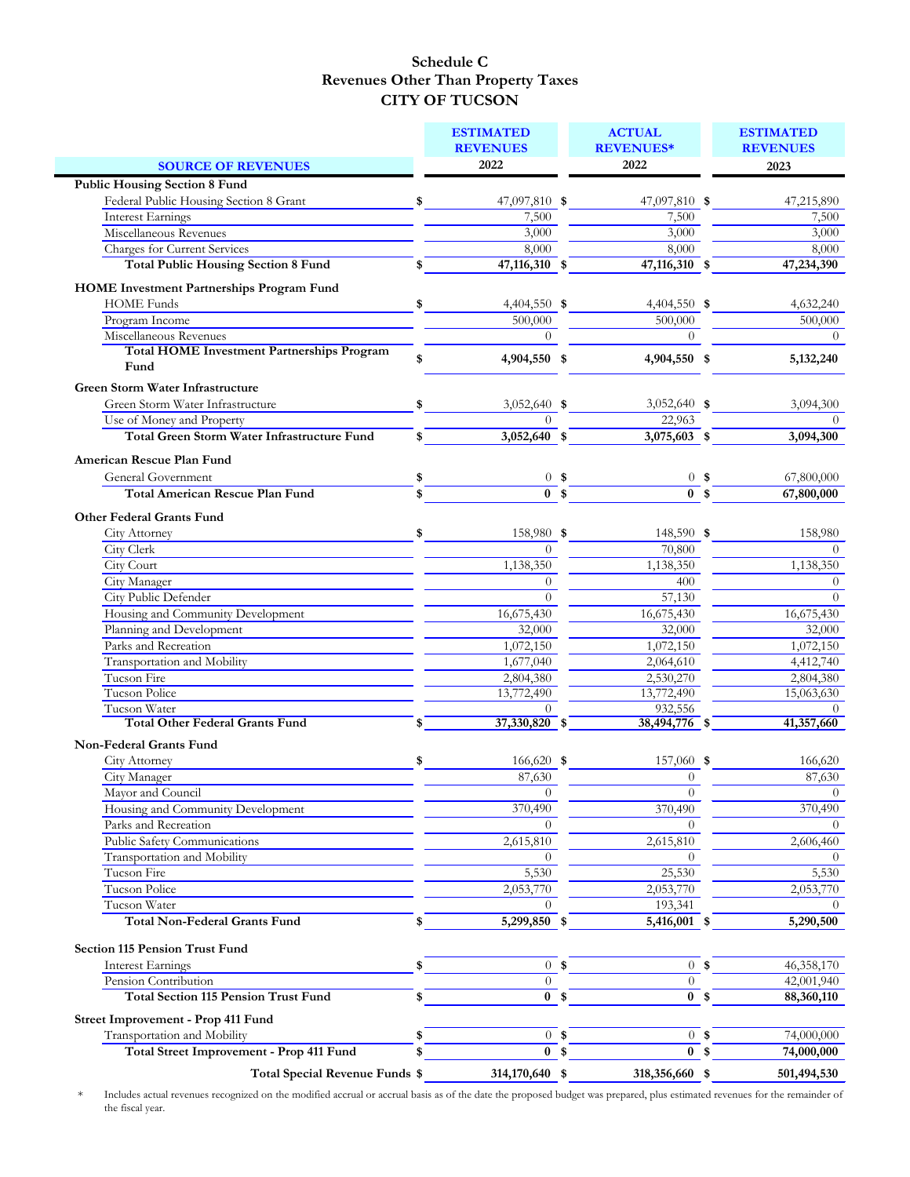|                                                    |    | <b>ESTIMATED</b><br><b>REVENUES</b> |        | <b>ACTUAL</b><br><b>REVENUES*</b> | <b>ESTIMATED</b><br><b>REVENUES</b> |
|----------------------------------------------------|----|-------------------------------------|--------|-----------------------------------|-------------------------------------|
| <b>SOURCE OF REVENUES</b>                          |    | 2022                                |        | 2022                              | 2023                                |
| <b>Public Housing Section 8 Fund</b>               |    |                                     |        |                                   |                                     |
| Federal Public Housing Section 8 Grant             | \$ | 47,097,810 \$                       |        | 47,097,810 \$                     | 47,215,890                          |
| Interest Earnings                                  |    | 7,500                               |        | 7,500                             | 7,500                               |
| Miscellaneous Revenues                             |    | 3,000                               |        | 3,000                             | 3,000                               |
| <b>Charges for Current Services</b>                |    | 8,000                               |        | 8,000                             | 8,000                               |
| <b>Total Public Housing Section 8 Fund</b>         | S  | 47,116,310 \$                       |        | 47,116,310 \$                     | 47,234,390                          |
|                                                    |    |                                     |        |                                   |                                     |
| HOME Investment Partnerships Program Fund          |    |                                     |        |                                   |                                     |
| <b>HOME Funds</b>                                  | \$ | 4,404,550 \$                        |        | 4,404,550 \$                      | 4,632,240                           |
| Program Income                                     |    | 500,000                             |        | 500,000                           | 500,000                             |
| Miscellaneous Revenues                             |    | $\Omega$                            |        | $\Omega$                          | $\Omega$                            |
| <b>Total HOME Investment Partnerships Program</b>  | \$ | 4,904,550 \$                        |        | 4,904,550 \$                      | 5,132,240                           |
| Fund                                               |    |                                     |        |                                   |                                     |
| <b>Green Storm Water Infrastructure</b>            |    |                                     |        |                                   |                                     |
| Green Storm Water Infrastructure                   | \$ | 3,052,640 \$                        |        | 3,052,640 $\ast$                  | 3,094,300                           |
| Use of Money and Property                          |    | $\Omega$                            |        | 22,963                            | $\Omega$                            |
| <b>Total Green Storm Water Infrastructure Fund</b> | \$ | 3,052,640 \$                        |        | $\overline{3,075,603}$ \$         | 3,094,300                           |
| American Rescue Plan Fund                          |    |                                     |        |                                   |                                     |
|                                                    |    |                                     |        |                                   |                                     |
| General Government                                 | \$ | $\overline{0}$ \$                   | $0$ \$ | $0$ \$<br>$\overline{0}$ \$       | 67,800,000                          |
| <b>Total American Rescue Plan Fund</b>             | \$ |                                     |        |                                   | 67,800,000                          |
| <b>Other Federal Grants Fund</b>                   |    |                                     |        |                                   |                                     |
| City Attorney                                      |    | 158,980 \$                          |        | 148,590 \$                        | 158,980                             |
| City Clerk                                         |    | $\Omega$                            |        | 70,800                            | $\theta$                            |
| City Court                                         |    | 1,138,350                           |        | 1,138,350                         | 1,138,350                           |
| City Manager                                       |    | $\theta$                            |        | 400                               | $\theta$                            |
| City Public Defender                               |    | $\Omega$                            |        | 57,130                            | $\Omega$                            |
| Housing and Community Development                  |    | 16,675,430                          |        | 16,675,430                        | 16,675,430                          |
| Planning and Development                           |    | 32,000                              |        | 32,000                            | 32,000                              |
| Parks and Recreation                               |    | 1,072,150                           |        | 1,072,150                         | 1,072,150                           |
| Transportation and Mobility                        |    | 1,677,040                           |        | 2,064,610                         | 4,412,740                           |
| Tucson Fire                                        |    | 2,804,380                           |        | 2,530,270                         | 2,804,380                           |
| <b>Tucson Police</b>                               |    | 13,772,490                          |        | 13,772,490                        | 15,063,630                          |
| Tucson Water                                       |    | $\Omega$                            |        | 932,556                           |                                     |
| <b>Total Other Federal Grants Fund</b>             | \$ | $37,330,820$ \$                     |        | 38,494,776 \$                     | 41,357,660                          |
| Non-Federal Grants Fund                            |    |                                     |        |                                   |                                     |
| City Attorney                                      | \$ | 166,620 \$                          |        | 157,060 \$                        | 166,620                             |
| City Manager                                       |    | 87,630                              |        | $\overline{0}$                    | 87,630                              |
| Mayor and Council                                  |    | $\Omega$                            |        | $\Omega$                          | $\Omega$                            |
| Housing and Community Development                  |    | 370,490                             |        | 370,490                           | 370,490                             |
| Parks and Recreation                               |    | $\Omega$                            |        | $\theta$                          | $\Omega$                            |
| Public Safety Communications                       |    | 2,615,810                           |        | 2,615,810                         | 2,606,460                           |
| Transportation and Mobility                        |    | $\Omega$                            |        | $\theta$                          | $\Omega$                            |
| Tucson Fire                                        |    | 5,530                               |        | 25,530                            | 5,530                               |
| Tucson Police                                      |    | 2,053,770                           |        | 2,053,770                         | 2,053,770                           |
| Tucson Water                                       |    | $\Omega$                            |        | 193,341                           |                                     |
| <b>Total Non-Federal Grants Fund</b>               | \$ | 5,299,850 \$                        |        | 5,416,001 \$                      | 5,290,500                           |
|                                                    |    |                                     |        |                                   |                                     |
| <b>Section 115 Pension Trust Fund</b>              |    |                                     |        |                                   |                                     |
| <b>Interest Earnings</b>                           | \$ |                                     | $0$ \$ | $0$ \$                            | 46,358,170                          |
| Pension Contribution                               |    | $\Omega$                            |        | $\Omega$                          | 42,001,940                          |
| <b>Total Section 115 Pension Trust Fund</b>        | \$ | 0 <sup>5</sup>                      |        | 0 <sup>5</sup>                    | 88,360,110                          |
| Street Improvement - Prop 411 Fund                 |    |                                     |        |                                   |                                     |
| Transportation and Mobility                        | \$ |                                     | $0$ \$ | $0$ \$                            | 74,000,000                          |
| Total Street Improvement - Prop 411 Fund           | \$ | 0 <sup>5</sup>                      |        | 0 <sup>5</sup>                    | 74,000,000                          |
|                                                    |    |                                     |        |                                   |                                     |
| Total Special Revenue Funds \$                     |    | 314,170,640 \$                      |        | 318,356,660 \$                    | 501,494,530                         |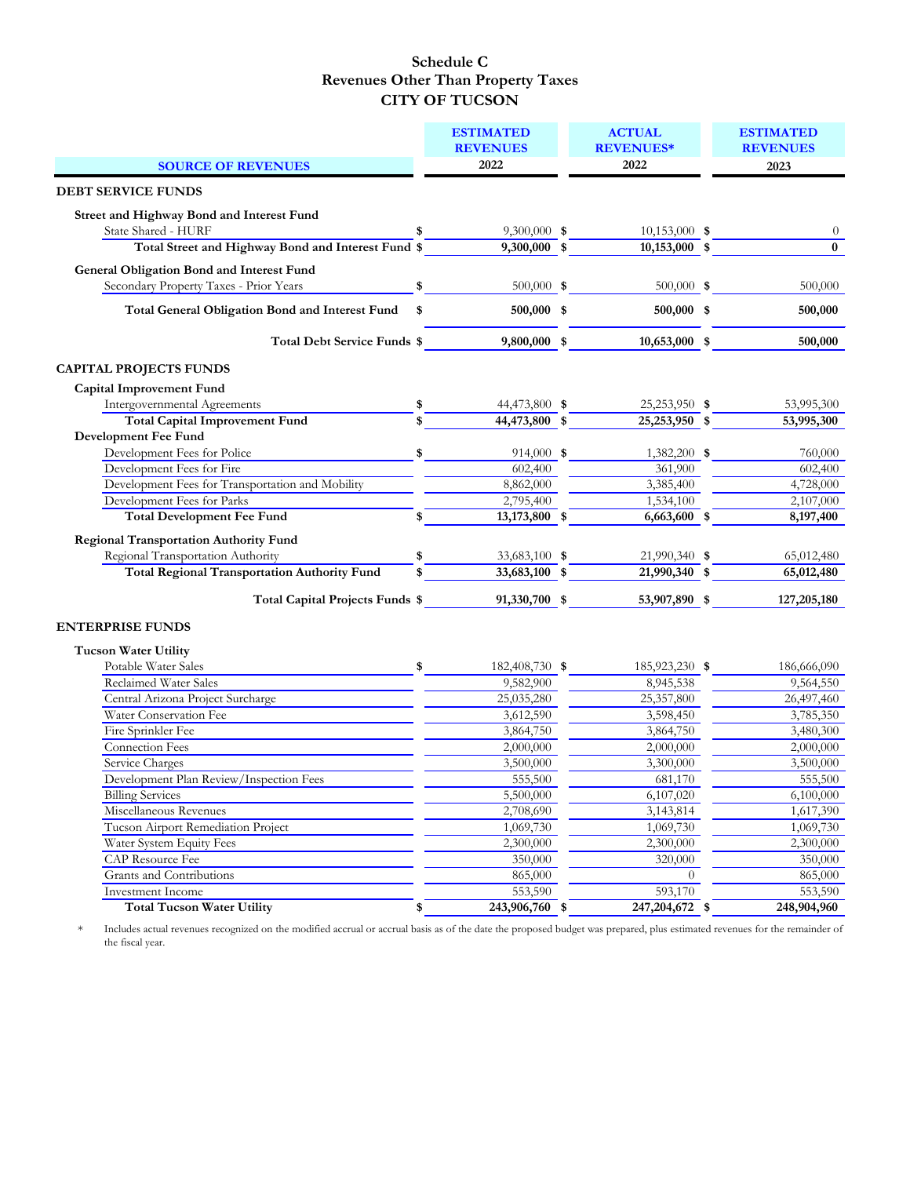|                                                                                            | <b>ESTIMATED</b>     | <b>ACTUAL</b>    | <b>ESTIMATED</b> |
|--------------------------------------------------------------------------------------------|----------------------|------------------|------------------|
|                                                                                            | <b>REVENUES</b>      | <b>REVENUES*</b> | <b>REVENUES</b>  |
| <b>SOURCE OF REVENUES</b>                                                                  | 2022                 | 2022             | 2023             |
| <b>DEBT SERVICE FUNDS</b>                                                                  |                      |                  |                  |
| Street and Highway Bond and Interest Fund                                                  |                      |                  |                  |
| State Shared - HURF                                                                        | $9,300,000$ \$       | $10,153,000$ \$  | $\theta$         |
| Total Street and Highway Bond and Interest Fund \$                                         | 9,300,000 \$         | $10,153,000$ \$  | $\bf{0}$         |
| <b>General Obligation Bond and Interest Fund</b><br>Secondary Property Taxes - Prior Years | \$<br>500,000 \$     | 500,000 \$       | 500,000          |
| <b>Total General Obligation Bond and Interest Fund</b>                                     | \$<br>500,000 \$     | 500,000 \$       | 500,000          |
| Total Debt Service Funds \$                                                                | 9,800,000 \$         | 10,653,000 \$    | 500,000          |
| <b>CAPITAL PROJECTS FUNDS</b>                                                              |                      |                  |                  |
| <b>Capital Improvement Fund</b>                                                            |                      |                  |                  |
| Intergovernmental Agreements                                                               | \$<br>44,473,800 \$  | 25,253,950 \$    | 53,995,300       |
| <b>Total Capital Improvement Fund</b>                                                      | \$<br>44,473,800 \$  | 25,253,950 \$    | 53,995,300       |
| Development Fee Fund                                                                       |                      |                  |                  |
| Development Fees for Police                                                                | \$<br>914,000 \$     | 1,382,200 \$     | 760,000          |
| Development Fees for Fire                                                                  | 602,400              | 361,900          | 602,400          |
| Development Fees for Transportation and Mobility                                           | 8,862,000            | 3,385,400        | 4,728,000        |
| Development Fees for Parks                                                                 | 2,795,400            | 1,534,100        | 2,107,000        |
| <b>Total Development Fee Fund</b>                                                          | \$<br>13,173,800 \$  | 6,663,600 \$     | 8,197,400        |
| <b>Regional Transportation Authority Fund</b>                                              |                      |                  |                  |
| Regional Transportation Authority                                                          | \$<br>33,683,100 \$  | 21,990,340 \$    | 65,012,480       |
| <b>Total Regional Transportation Authority Fund</b>                                        | \$<br>33,683,100 \$  | 21,990,340 \$    | 65,012,480       |
|                                                                                            |                      |                  |                  |
| Total Capital Projects Funds \$                                                            | 91,330,700 \$        | 53,907,890 \$    | 127,205,180      |
| <b>ENTERPRISE FUNDS</b>                                                                    |                      |                  |                  |
| <b>Tucson Water Utility</b>                                                                |                      |                  |                  |
| Potable Water Sales                                                                        | \$<br>182,408,730 \$ | 185,923,230 \$   | 186,666,090      |
| Reclaimed Water Sales                                                                      | 9,582,900            | 8,945,538        | 9,564,550        |
| Central Arizona Project Surcharge                                                          | 25,035,280           | 25,357,800       | 26,497,460       |
| Water Conservation Fee                                                                     | 3,612,590            | 3,598,450        | 3,785,350        |
| Fire Sprinkler Fee                                                                         | 3,864,750            | 3,864,750        | 3,480,300        |
| Connection Fees                                                                            | 2,000,000            | 2,000,000        | 2,000,000        |
| Service Charges                                                                            | 3,500,000            | 3,300,000        | 3,500,000        |
| Development Plan Review/Inspection Fees                                                    | 555,500              | 681,170          | 555,500          |
| <b>Billing Services</b>                                                                    | 5,500,000            | 6,107,020        | 6,100,000        |
| Miscellaneous Revenues                                                                     | 2,708,690            | 3,143,814        | 1,617,390        |
| Tucson Airport Remediation Project                                                         | 1,069,730            | 1,069,730        | 1,069,730        |
| Water System Equity Fees                                                                   | 2,300,000            | 2,300,000        | 2,300,000        |
| <b>CAP Resource Fee</b>                                                                    | 350,000              | 320,000          | 350,000          |
| Grants and Contributions                                                                   | 865,000              |                  | 865,000          |
| Investment Income                                                                          | 553,590              | 593,170          | 553,590          |
| <b>Total Tucson Water Utility</b>                                                          | \$<br>243,906,760 \$ | 247, 204, 672 \$ | 248,904,960      |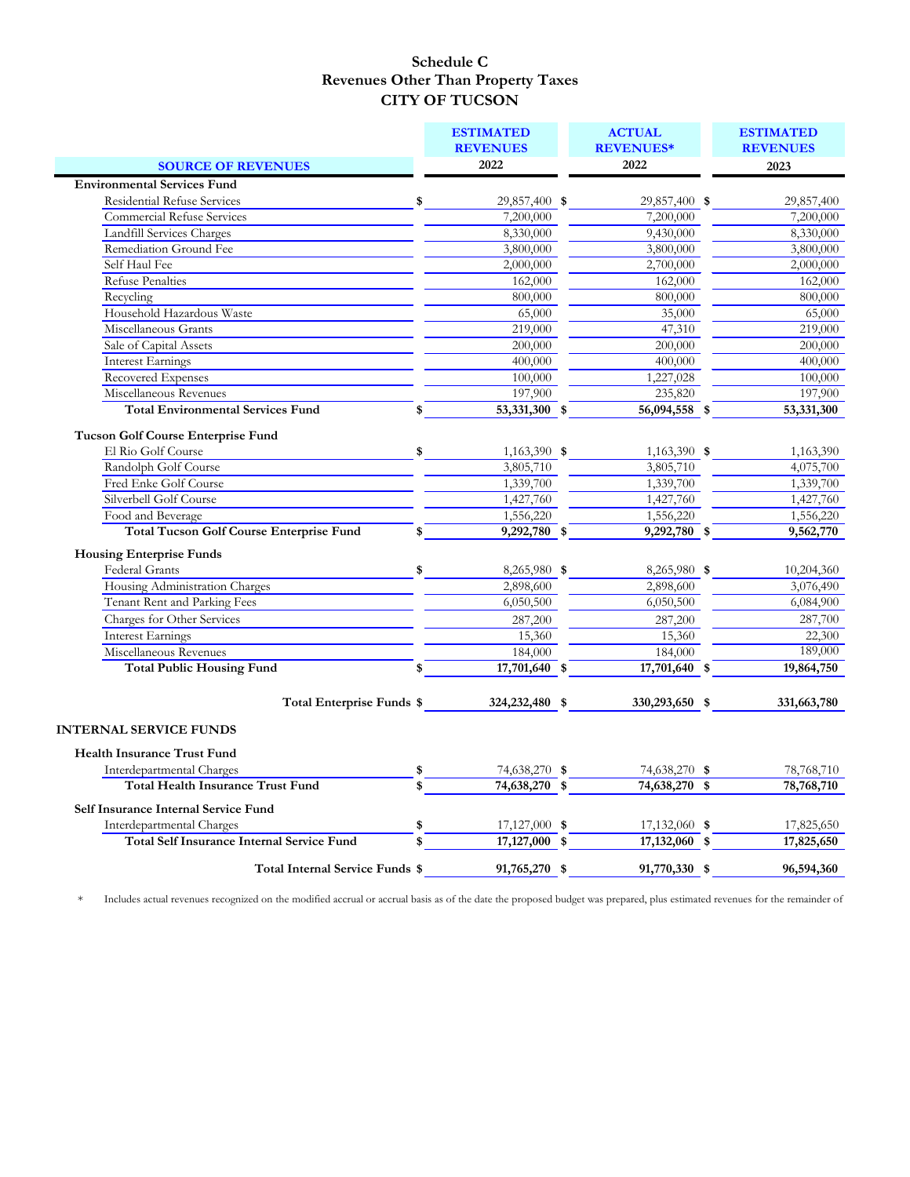|                                                                      | <b>ESTIMATED</b><br><b>REVENUES</b> | <b>ACTUAL</b><br><b>REVENUES*</b> | <b>ESTIMATED</b><br><b>REVENUES</b> |
|----------------------------------------------------------------------|-------------------------------------|-----------------------------------|-------------------------------------|
| <b>SOURCE OF REVENUES</b>                                            | 2022                                | 2022                              | 2023                                |
| <b>Environmental Services Fund</b>                                   |                                     |                                   |                                     |
| <b>Residential Refuse Services</b>                                   | \$<br>29,857,400 \$                 | 29,857,400 \$                     | 29,857,400                          |
| <b>Commercial Refuse Services</b>                                    | 7,200,000                           | 7,200,000                         | 7,200,000                           |
| Landfill Services Charges                                            | 8,330,000                           | 9,430,000                         | 8,330,000                           |
| Remediation Ground Fee                                               | 3,800,000                           | 3,800,000                         | 3,800,000                           |
| Self Haul Fee                                                        | 2,000,000                           | 2,700,000                         | 2,000,000                           |
| <b>Refuse Penalties</b>                                              | 162,000                             | 162,000                           | 162,000                             |
| Recycling                                                            | 800,000                             | 800,000                           | 800,000                             |
| Household Hazardous Waste                                            | 65,000                              | 35,000                            | 65,000                              |
| Miscellaneous Grants                                                 | 219,000                             | 47,310                            | 219,000                             |
| Sale of Capital Assets                                               | 200,000                             | 200,000                           | 200,000                             |
| <b>Interest Earnings</b>                                             | 400,000                             | 400,000                           | 400,000                             |
| Recovered Expenses                                                   | 100,000                             | 1,227,028                         | 100,000                             |
| Miscellaneous Revenues                                               | 197,900                             | 235,820                           | 197,900                             |
| <b>Total Environmental Services Fund</b>                             | \$<br>53,331,300 \$                 | 56,094,558 \$                     | 53,331,300                          |
|                                                                      |                                     |                                   |                                     |
| <b>Tucson Golf Course Enterprise Fund</b>                            |                                     |                                   |                                     |
| El Rio Golf Course                                                   | \$<br>1,163,390 \$                  | 1,163,390 \$                      | 1,163,390                           |
| Randolph Golf Course                                                 | 3,805,710                           | 3,805,710                         | 4,075,700                           |
| Fred Enke Golf Course<br>Silverbell Golf Course                      | 1,339,700                           | 1,339,700                         | 1,339,700                           |
|                                                                      | 1,427,760                           | 1,427,760                         | 1,427,760                           |
| Food and Beverage<br><b>Total Tucson Golf Course Enterprise Fund</b> | 1,556,220                           | 1,556,220                         | 1,556,220                           |
|                                                                      | \$<br>$9,292,780$ \$                | $9,292,780$ \$                    | 9,562,770                           |
| <b>Housing Enterprise Funds</b>                                      |                                     |                                   |                                     |
| Federal Grants                                                       | \$<br>8,265,980 \$                  | 8,265,980 \$                      | 10,204,360                          |
| Housing Administration Charges                                       | 2,898,600                           | 2,898,600                         | 3,076,490                           |
| Tenant Rent and Parking Fees                                         | 6,050,500                           | 6,050,500                         | 6,084,900                           |
| Charges for Other Services                                           | 287,200                             | 287,200                           | 287,700                             |
| <b>Interest Earnings</b>                                             | 15,360                              | 15,360                            | 22,300                              |
| Miscellaneous Revenues                                               | 184,000                             | 184,000                           | 189,000                             |
| <b>Total Public Housing Fund</b>                                     | \$<br>17,701,640 \$                 | 17,701,640 \$                     | 19,864,750                          |
| Total Enterprise Funds \$                                            | 324, 232, 480 \$                    | 330,293,650 \$                    | 331,663,780                         |
| <b>INTERNAL SERVICE FUNDS</b>                                        |                                     |                                   |                                     |
|                                                                      |                                     |                                   |                                     |
| <b>Health Insurance Trust Fund</b>                                   |                                     |                                   |                                     |
| Interdepartmental Charges                                            | \$<br>74,638,270 \$                 | 74,638,270 \$                     | 78,768,710                          |
| <b>Total Health Insurance Trust Fund</b>                             | \$<br>74,638,270 \$                 | 74,638,270 \$                     | 78,768,710                          |
| Self Insurance Internal Service Fund                                 |                                     |                                   |                                     |
| Interdepartmental Charges                                            | \$<br>$17,127,000$ \$               | 17,132,060 \$                     | 17,825,650                          |
| <b>Total Self Insurance Internal Service Fund</b>                    | \$<br>17,127,000 \$                 | 17,132,060 \$                     | 17,825,650                          |
| Total Internal Service Funds \$                                      | 91,765,270 \$                       | 91,770,330 \$                     | 96,594,360                          |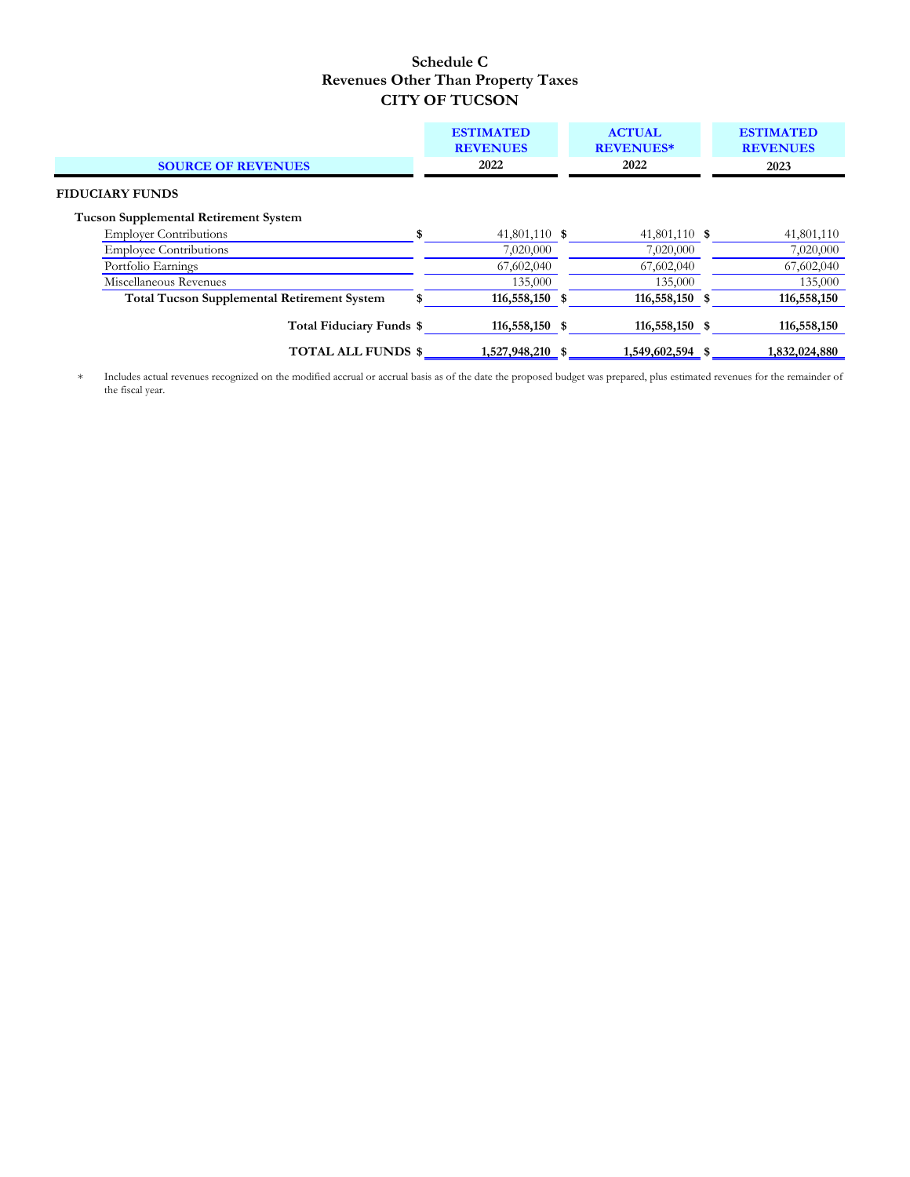|                                                                        | <b>ESTIMATED</b><br><b>REVENUES</b> | <b>ACTUAL</b><br><b>REVENUES*</b> | <b>ESTIMATED</b><br><b>REVENUES</b> |
|------------------------------------------------------------------------|-------------------------------------|-----------------------------------|-------------------------------------|
| <b>SOURCE OF REVENUES</b>                                              | 2022                                | 2022                              | 2023                                |
| <b>FIDUCIARY FUNDS</b><br><b>Tucson Supplemental Retirement System</b> |                                     |                                   |                                     |
| <b>Employer Contributions</b>                                          | \$<br>41,801,110 \$                 | 41,801,110 \$                     | 41,801,110                          |
| <b>Employee Contributions</b>                                          | 7,020,000                           | 7,020,000                         | 7,020,000                           |
| Portfolio Earnings                                                     | 67,602,040                          | 67,602,040                        | 67,602,040                          |
| Miscellaneous Revenues                                                 | 135,000                             | 135,000                           | 135,000                             |
| <b>Total Tucson Supplemental Retirement System</b>                     | 116,558,150 \$                      | 116,558,150 \$                    | 116,558,150                         |
| Total Fiduciary Funds \$                                               | 116,558,150 \$                      | 116,558,150 \$                    | 116,558,150                         |
| <b>TOTAL ALL FUNDS \$</b>                                              | 1,527,948,210 \$                    | 1,549,602,594 \$                  | 1,832,024,880                       |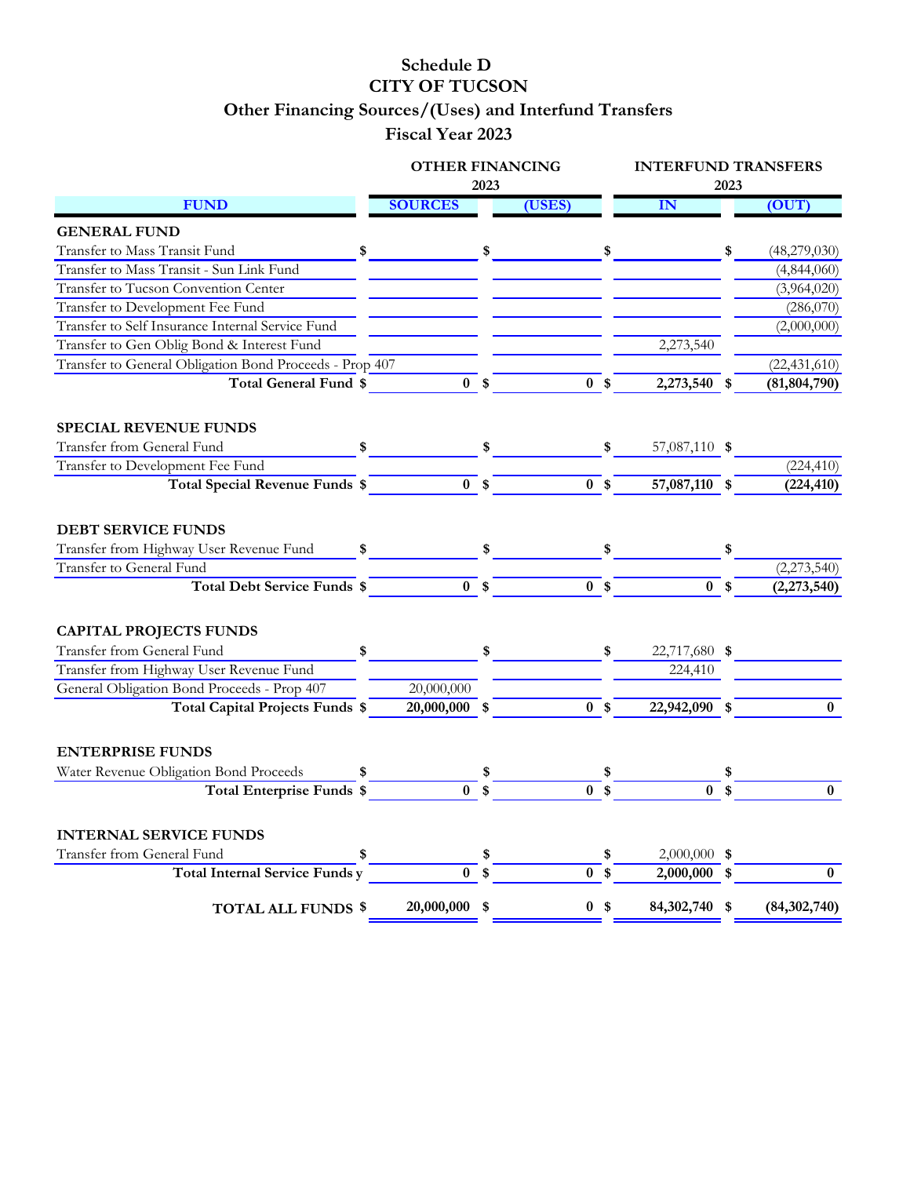# **Schedule D CITY OF TUCSON Other Financing Sources/(Uses) and Interfund Transfers**

# **Fiscal Year 2023**

|                                                         | <b>OTHER FINANCING</b> |      |                |     | <b>INTERFUND TRANSFERS</b> |      |                |
|---------------------------------------------------------|------------------------|------|----------------|-----|----------------------------|------|----------------|
|                                                         |                        | 2023 |                |     |                            | 2023 |                |
| <b>FUND</b>                                             | <b>SOURCES</b>         |      | (USES)         |     | ${\bf IN}$                 |      | (OUT)          |
| <b>GENERAL FUND</b>                                     |                        |      |                |     |                            |      |                |
| Transfer to Mass Transit Fund<br>\$                     |                        | \$   |                | \$  |                            | \$   | (48,279,030)   |
| Transfer to Mass Transit - Sun Link Fund                |                        |      |                |     |                            |      | (4,844,060)    |
| Transfer to Tucson Convention Center                    |                        |      |                |     |                            |      | (3,964,020)    |
| Transfer to Development Fee Fund                        |                        |      |                |     |                            |      | (286,070)      |
| Transfer to Self Insurance Internal Service Fund        |                        |      |                |     |                            |      | (2,000,000)    |
| Transfer to Gen Oblig Bond & Interest Fund              |                        |      |                |     | 2,273,540                  |      |                |
| Transfer to General Obligation Bond Proceeds - Prop 407 |                        |      |                |     |                            |      | (22, 431, 610) |
| Total General Fund \$                                   | 0 <sup>5</sup>         |      | 0 <sup>5</sup> |     | 2,273,540 \$               |      | (81, 804, 790) |
| <b>SPECIAL REVENUE FUNDS</b>                            |                        |      |                |     |                            |      |                |
| Transfer from General Fund<br>\$                        |                        | \$   |                |     | 57,087,110 \$              |      |                |
| Transfer to Development Fee Fund                        |                        |      |                |     |                            |      | (224, 410)     |
| Total Special Revenue Funds \$                          | 0 <sup>5</sup>         |      | 0 <sup>5</sup> |     | 57,087,110 \$              |      | (224, 410)     |
|                                                         |                        |      |                |     |                            |      |                |
| <b>DEBT SERVICE FUNDS</b>                               |                        |      |                |     |                            |      |                |
| Transfer from Highway User Revenue Fund                 |                        |      |                |     |                            |      |                |
| Transfer to General Fund                                |                        |      |                |     |                            |      | (2,273,540)    |
| <b>Total Debt Service Funds \$</b>                      | 0 <sup>5</sup>         |      | 0 <sup>5</sup> |     | 0 <sup>5</sup>             |      | (2,273,540)    |
|                                                         |                        |      |                |     |                            |      |                |
| <b>CAPITAL PROJECTS FUNDS</b>                           |                        |      |                |     |                            |      |                |
| Transfer from General Fund<br>\$                        |                        | \$   |                | S   | 22,717,680 \$              |      |                |
| Transfer from Highway User Revenue Fund                 |                        |      |                |     | 224,410                    |      |                |
| General Obligation Bond Proceeds - Prop 407             | 20,000,000             |      |                |     |                            |      |                |
| Total Capital Projects Funds \$                         | 20,000,000 \$          |      | 0 <sup>5</sup> |     | 22,942,090 \$              |      | $\bf{0}$       |
|                                                         |                        |      |                |     |                            |      |                |
| <b>ENTERPRISE FUNDS</b>                                 |                        |      |                |     |                            |      |                |
| Water Revenue Obligation Bond Proceeds                  |                        |      |                |     |                            |      |                |
| <b>Total Enterprise Funds \$</b>                        | $\mathbf{0}$           | \$   | $\bf{0}$       | -\$ | $\bf{0}$                   | \$   | $\bf{0}$       |
|                                                         |                        |      |                |     |                            |      |                |
| <b>INTERNAL SERVICE FUNDS</b>                           |                        |      |                |     |                            |      |                |
| Transfer from General Fund<br>\$                        |                        | \$   |                | \$  | $2,000,000$ \$             |      |                |
| <b>Total Internal Service Funds y</b>                   | $\mathbf{0}$           | \$   | 0 <sup>5</sup> |     | $2,000,000$ \$             |      | $\bf{0}$       |
| <b>TOTAL ALL FUNDS \$</b>                               | 20,000,000 \$          |      | 0 <sup>5</sup> |     | 84,302,740 \$              |      | (84, 302, 740) |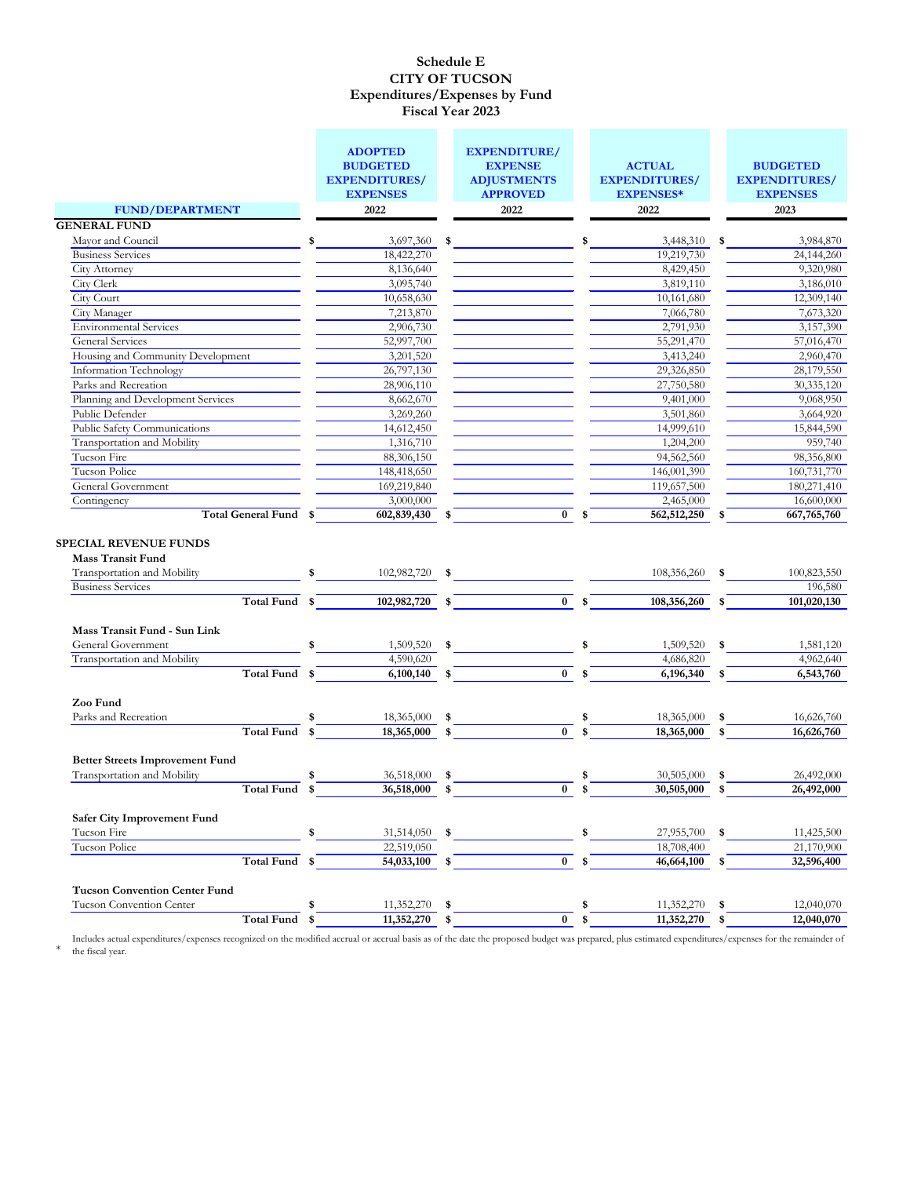|                                                                                                                     |      | <b>ADOPTED</b><br><b>BUDGETED</b><br><b>EXPENDITURES/</b> | <b>EXPENDITURE/</b><br><b>EXPENSE</b><br><b>ADJUSTMENTS</b> |      | <b>ACTUAL</b><br><b>EXPENDITURES/</b> |      | <b>BUDGETED</b><br><b>EXPENDITURES/</b> |
|---------------------------------------------------------------------------------------------------------------------|------|-----------------------------------------------------------|-------------------------------------------------------------|------|---------------------------------------|------|-----------------------------------------|
|                                                                                                                     |      | <b>EXPENSES</b>                                           | <b>APPROVED</b>                                             |      | <b>EXPENSES*</b>                      |      | <b>EXPENSES</b>                         |
| <b>FUND/DEPARTMENT</b>                                                                                              |      | 2022                                                      | 2022                                                        |      | 2022                                  |      | 2023                                    |
| <b>GENERAL FUND</b>                                                                                                 |      |                                                           |                                                             |      |                                       |      |                                         |
| Mayor and Council                                                                                                   | \$   | 3,697,360                                                 | \$                                                          | \$   | 3,448,310                             | - \$ | 3,984,870                               |
| <b>Business Services</b>                                                                                            |      | 18,422,270                                                |                                                             |      | 19,219,730                            |      | 24,144,260                              |
| City Attorney                                                                                                       |      | 8,136,640                                                 |                                                             |      | 8,429,450                             |      | 9,320,980                               |
| City Clerk                                                                                                          |      | 3,095,740                                                 |                                                             |      | 3,819,110                             |      | 3,186,010                               |
| City Court                                                                                                          |      | 10,658,630                                                |                                                             |      | 10,161,680                            |      | 12,309,140                              |
| City Manager                                                                                                        |      | 7,213,870                                                 |                                                             |      | 7,066,780                             |      | 7,673,320                               |
| <b>Environmental Services</b>                                                                                       |      | 2,906,730                                                 |                                                             |      | 2,791,930                             |      | 3,157,390                               |
| General Services                                                                                                    |      | 52,997,700                                                |                                                             |      | 55,291,470                            |      | 57,016,470                              |
| Housing and Community Development                                                                                   |      | 3,201,520                                                 |                                                             |      | 3,413,240                             |      | 2,960,470                               |
| Information Technology                                                                                              |      | 26,797,130                                                |                                                             |      | 29,326,850                            |      | 28,179,550                              |
| Parks and Recreation                                                                                                |      | 28,906,110                                                |                                                             |      | 27,750,580                            |      | 30,335,120                              |
| Planning and Development Services                                                                                   |      | 8,662,670                                                 |                                                             |      | 9,401,000                             |      | 9,068,950                               |
| Public Defender                                                                                                     |      | 3,269,260                                                 |                                                             |      | 3,501,860                             |      | 3,664,920                               |
| Public Safety Communications                                                                                        |      | 14,612,450                                                |                                                             |      | 14,999,610                            |      | 15,844,590                              |
| Transportation and Mobility                                                                                         |      | 1,316,710                                                 |                                                             |      | 1,204,200                             |      | 959,740                                 |
| Tucson Fire                                                                                                         |      | 88,306,150                                                |                                                             |      | 94,562,560                            |      | 98,356,800                              |
| Tucson Police                                                                                                       |      | 148,418,650                                               |                                                             |      | 146,001,390                           |      | 160,731,770                             |
| <b>General Government</b>                                                                                           |      | 169,219,840                                               |                                                             |      | 119,657,500                           |      | 180,271,410                             |
| Contingency                                                                                                         |      | 3,000,000                                                 |                                                             |      | 2,465,000                             |      | 16,600,000                              |
| Total General Fund \$                                                                                               |      | 602,839,430                                               | \$<br>$\bf{0}$                                              | Ŝ.   | 562,512,250                           | \$   | 667,765,760                             |
| <b>SPECIAL REVENUE FUNDS</b><br><b>Mass Transit Fund</b><br>Transportation and Mobility<br><b>Business Services</b> | \$   | 102,982,720 \$                                            |                                                             |      | 108,356,260                           | \$   | 100,823,550<br>196,580                  |
| Total Fund                                                                                                          | - \$ | 102,982,720                                               | \$<br>$\mathbf{0}$                                          | - \$ | 108,356,260                           | \$   | 101,020,130                             |
|                                                                                                                     |      |                                                           |                                                             |      |                                       |      |                                         |
| Mass Transit Fund - Sun Link                                                                                        |      |                                                           |                                                             |      |                                       |      |                                         |
| General Government                                                                                                  | \$   | 1,509,520                                                 | \$                                                          | \$   | 1,509,520                             | \$   | 1,581,120                               |
| Transportation and Mobility                                                                                         |      | 4,590,620                                                 |                                                             |      | 4,686,820                             |      | 4,962,640                               |
| Total Fund                                                                                                          | \$   | 6,100,140                                                 | \$<br>$\bf{0}$                                              | \$   | 6,196,340                             | \$   | 6,543,760                               |
|                                                                                                                     |      |                                                           |                                                             |      |                                       |      |                                         |
| Zoo Fund                                                                                                            |      |                                                           |                                                             |      |                                       |      |                                         |
| Parks and Recreation                                                                                                | \$   | 18,365,000                                                | \$                                                          | \$   | 18,365,000                            | \$   | 16,626,760                              |
| Total Fund                                                                                                          | S.   | 18,365,000                                                | \$<br>$\bf{0}$                                              | \$   | $\overline{18,365,000}$               | \$   | 16,626,760                              |
|                                                                                                                     |      |                                                           |                                                             |      |                                       |      |                                         |
| <b>Better Streets Improvement Fund</b>                                                                              |      |                                                           |                                                             |      |                                       |      |                                         |
| Transportation and Mobility                                                                                         |      | 36,518,000                                                | \$                                                          | \$   | 30,505,000                            | \$   | 26,492,000                              |
| <b>Total Fund</b>                                                                                                   | \$   | 36,518,000                                                | \$<br>$\bf{0}$                                              | \$   | 30,505,000                            | \$   | 26,492,000                              |
|                                                                                                                     |      |                                                           |                                                             |      |                                       |      |                                         |
| <b>Safer City Improvement Fund</b>                                                                                  |      |                                                           |                                                             |      |                                       |      |                                         |
| Tucson Fire                                                                                                         | \$   | 31,514,050                                                | \$                                                          | \$   | 27,955,700                            | \$   | 11,425,500                              |
| Tucson Police                                                                                                       |      | 22,519,050                                                |                                                             |      | 18,708,400                            |      | 21,170,900                              |
| Total Fund                                                                                                          | - \$ | 54,033,100                                                | \$<br>$\bf{0}$                                              | \$   | 46,664,100                            | \$   | 32,596,400                              |
|                                                                                                                     |      |                                                           |                                                             |      |                                       |      |                                         |
| <b>Tucson Convention Center Fund</b>                                                                                |      |                                                           |                                                             |      |                                       |      |                                         |
| Tucson Convention Center                                                                                            | \$   | 11,352,270                                                | \$                                                          | \$   | 11,352,270                            | \$   | 12,040,070                              |
| Total Fund                                                                                                          | \$   | 11,352,270                                                | \$<br>$\bf{0}$                                              | \$   | 11,352,270                            | \$   | 12,040,070                              |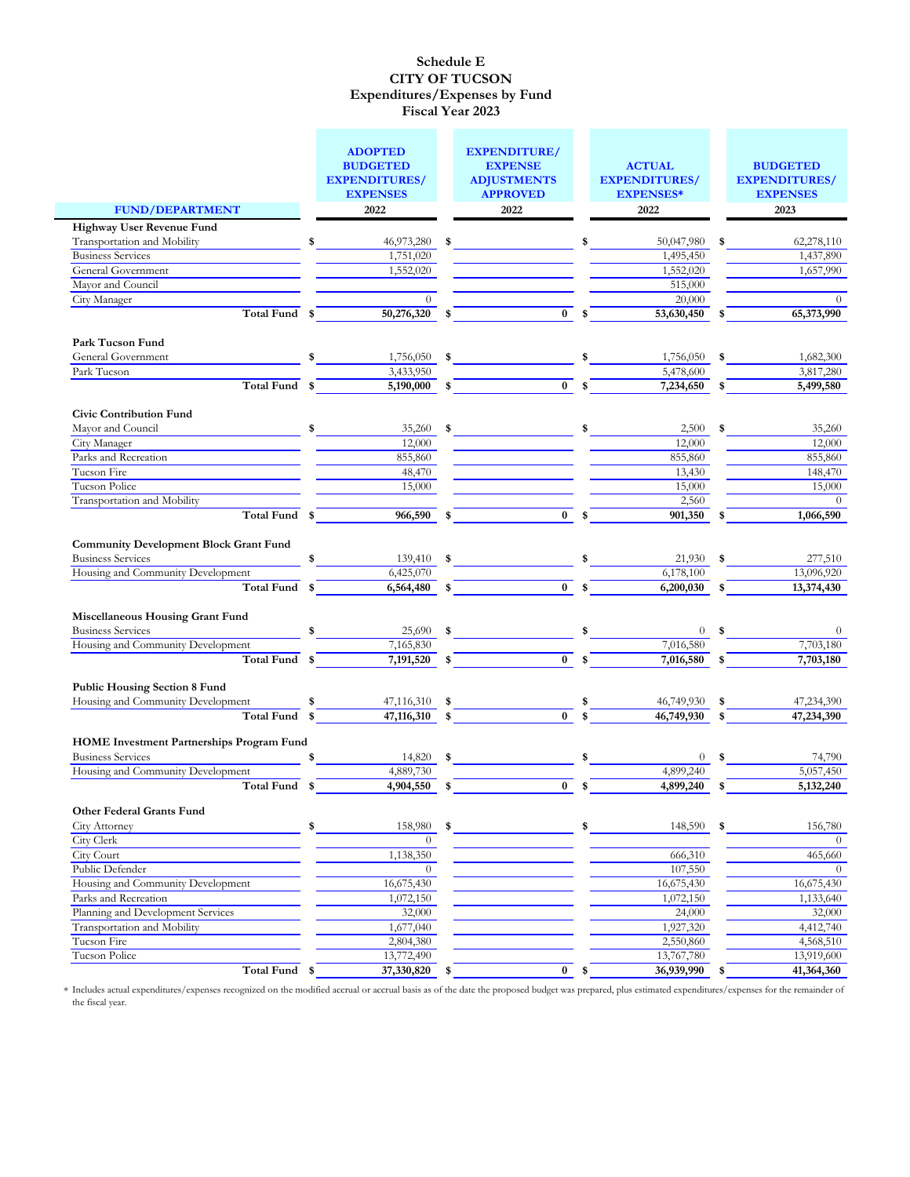|                                                                                                                                     |          | <b>ADOPTED</b><br><b>BUDGETED</b><br><b>EXPENDITURES/</b><br><b>EXPENSES</b> |                | <b>EXPENDITURE/</b><br><b>EXPENSE</b><br><b>ADJUSTMENTS</b><br><b>APPROVED</b> |                | <b>ACTUAL</b><br><b>EXPENDITURES/</b><br><b>EXPENSES*</b> |           | <b>BUDGETED</b><br><b>EXPENDITURES/</b><br><b>EXPENSES</b> |
|-------------------------------------------------------------------------------------------------------------------------------------|----------|------------------------------------------------------------------------------|----------------|--------------------------------------------------------------------------------|----------------|-----------------------------------------------------------|-----------|------------------------------------------------------------|
| <b>FUND/DEPARTMENT</b>                                                                                                              |          | 2022                                                                         |                | 2022                                                                           |                | 2022                                                      |           | 2023                                                       |
| <b>Highway User Revenue Fund</b>                                                                                                    |          |                                                                              |                |                                                                                |                |                                                           |           |                                                            |
| Transportation and Mobility                                                                                                         | \$       | 46,973,280                                                                   | \$             |                                                                                | \$             | 50,047,980                                                | \$        | 62,278,110                                                 |
| <b>Business Services</b>                                                                                                            |          | 1,751,020                                                                    |                |                                                                                |                | 1,495,450                                                 |           | 1,437,890                                                  |
| General Government                                                                                                                  |          | 1,552,020                                                                    |                |                                                                                |                | 1,552,020                                                 |           | 1,657,990                                                  |
| Mayor and Council                                                                                                                   |          |                                                                              |                |                                                                                |                | 515,000                                                   |           |                                                            |
| City Manager                                                                                                                        |          |                                                                              |                |                                                                                |                | 20,000                                                    |           | $\Omega$                                                   |
| <b>Total Fund</b>                                                                                                                   | \$       | 50,276,320                                                                   | \$             | $\bf{0}$                                                                       | \$             | 53,630,450                                                | \$        | 65,373,990                                                 |
| <b>Park Tucson Fund</b>                                                                                                             |          |                                                                              |                |                                                                                |                |                                                           |           |                                                            |
| General Government                                                                                                                  | \$       | 1,756,050                                                                    | \$             |                                                                                | \$             | 1,756,050                                                 | -\$       | 1,682,300                                                  |
| Park Tucson                                                                                                                         |          | 3,433,950                                                                    |                |                                                                                |                | 5,478,600                                                 |           | 3,817,280                                                  |
| <b>Total Fund</b>                                                                                                                   | \$       | 5,190,000                                                                    | \$             | $\bf{0}$                                                                       | \$             | 7,234,650                                                 | S.        | 5,499,580                                                  |
|                                                                                                                                     |          |                                                                              |                |                                                                                |                |                                                           |           |                                                            |
| <b>Civic Contribution Fund</b><br>Mayor and Council                                                                                 | \$       | 35,260                                                                       | \$             |                                                                                | \$             | 2,500                                                     |           | 35,260                                                     |
| City Manager                                                                                                                        |          | 12,000                                                                       |                |                                                                                |                | 12,000                                                    |           | 12,000                                                     |
| Parks and Recreation                                                                                                                |          | 855,860                                                                      |                |                                                                                |                | 855,860                                                   |           | 855,860                                                    |
| Tucson Fire                                                                                                                         |          | 48,470                                                                       |                |                                                                                |                | 13,430                                                    |           | 148,470                                                    |
| Tucson Police                                                                                                                       |          | 15,000                                                                       |                |                                                                                |                | 15,000                                                    |           | 15,000                                                     |
| Transportation and Mobility                                                                                                         |          |                                                                              |                |                                                                                |                | 2,560                                                     |           | $\Omega$                                                   |
| Total Fund \$                                                                                                                       |          | 966,590                                                                      | \$             | $\bf{0}$                                                                       | \$             | 901,350                                                   | -S        | 1,066,590                                                  |
| <b>Community Development Block Grant Fund</b><br><b>Business Services</b><br>Housing and Community Development<br><b>Total Fund</b> | \$<br>\$ | 139,410<br>6,425,070<br>6,564,480                                            | \$<br>\$       | $\bf{0}$                                                                       | \$             | 21,930<br>6,178,100<br>6,200,030                          | -\$<br>\$ | 277,510<br>13,096,920<br>13,374,430                        |
| <b>Miscellaneous Housing Grant Fund</b><br><b>Business Services</b>                                                                 | \$       | $25,690$ \$                                                                  |                |                                                                                | \$             |                                                           | $0$ \$    | $\overline{0}$                                             |
| Housing and Community Development<br>Total Fund                                                                                     |          | 7,165,830<br>$\overline{7,191,520}$                                          |                | $\bf{0}$                                                                       |                | 7,016,580                                                 |           | 7,703,180                                                  |
| <b>Public Housing Section 8 Fund</b><br>Housing and Community Development<br><b>Total Fund</b>                                      | \$<br>\$ | 47,116,310<br>47,116,310                                                     | \$<br>\$<br>\$ | $\mathbf{0}$                                                                   | \$<br>\$<br>\$ | 7,016,580<br>46,749,930<br>46,749,930                     | \$        | 7,703,180<br>47,234,390<br>47,234,390                      |
| <b>HOME Investment Partnerships Program Fund</b>                                                                                    |          |                                                                              |                |                                                                                |                |                                                           |           |                                                            |
| <b>Business Services</b>                                                                                                            |          | 14,820                                                                       | \$             |                                                                                |                | $\theta$                                                  |           | 74,790                                                     |
| Housing and Community Development                                                                                                   |          | 4,889,730                                                                    |                |                                                                                |                | 4,899,240                                                 |           | 5,057,450                                                  |
| Total Fund                                                                                                                          | \$       | 4,904,550                                                                    | -\$            | $\mathbf{0}$                                                                   | \$             | 4,899,240                                                 |           | 5, 132, 240                                                |
| <b>Other Federal Grants Fund</b>                                                                                                    |          |                                                                              |                |                                                                                |                |                                                           |           |                                                            |
| City Attorney                                                                                                                       | \$       | 158,980                                                                      | \$             |                                                                                | \$             | 148,590                                                   | \$        | 156,780                                                    |
| City Clerk                                                                                                                          |          | $\Omega$                                                                     |                |                                                                                |                |                                                           |           | $\Omega$                                                   |
| City Court                                                                                                                          |          | 1,138,350                                                                    |                |                                                                                |                | 666,310                                                   |           | 465,660                                                    |
| Public Defender                                                                                                                     |          | $\theta$                                                                     |                |                                                                                |                | 107,550                                                   |           | $\Omega$                                                   |
| Housing and Community Development                                                                                                   |          | 16,675,430                                                                   |                |                                                                                |                | 16,675,430                                                |           | 16,675,430                                                 |
| Parks and Recreation                                                                                                                |          | 1,072,150                                                                    |                |                                                                                |                | 1,072,150                                                 |           | 1,133,640                                                  |
| Planning and Development Services                                                                                                   |          | 32,000                                                                       |                |                                                                                |                | 24,000                                                    |           | 32,000                                                     |
| Transportation and Mobility                                                                                                         |          | 1,677,040                                                                    |                |                                                                                |                | 1,927,320                                                 |           | 4,412,740                                                  |
| Tucson Fire                                                                                                                         |          | 2,804,380                                                                    |                |                                                                                |                | 2,550,860                                                 |           | 4,568,510                                                  |
| Tucson Police                                                                                                                       |          | 13,772,490                                                                   |                |                                                                                |                | 13,767,780                                                |           | 13,919,600                                                 |
| Total Fund \$                                                                                                                       |          | 37,330,820                                                                   | \$             | $\bf{0}$                                                                       | \$             | 36,939,990                                                | \$        | 41,364,360                                                 |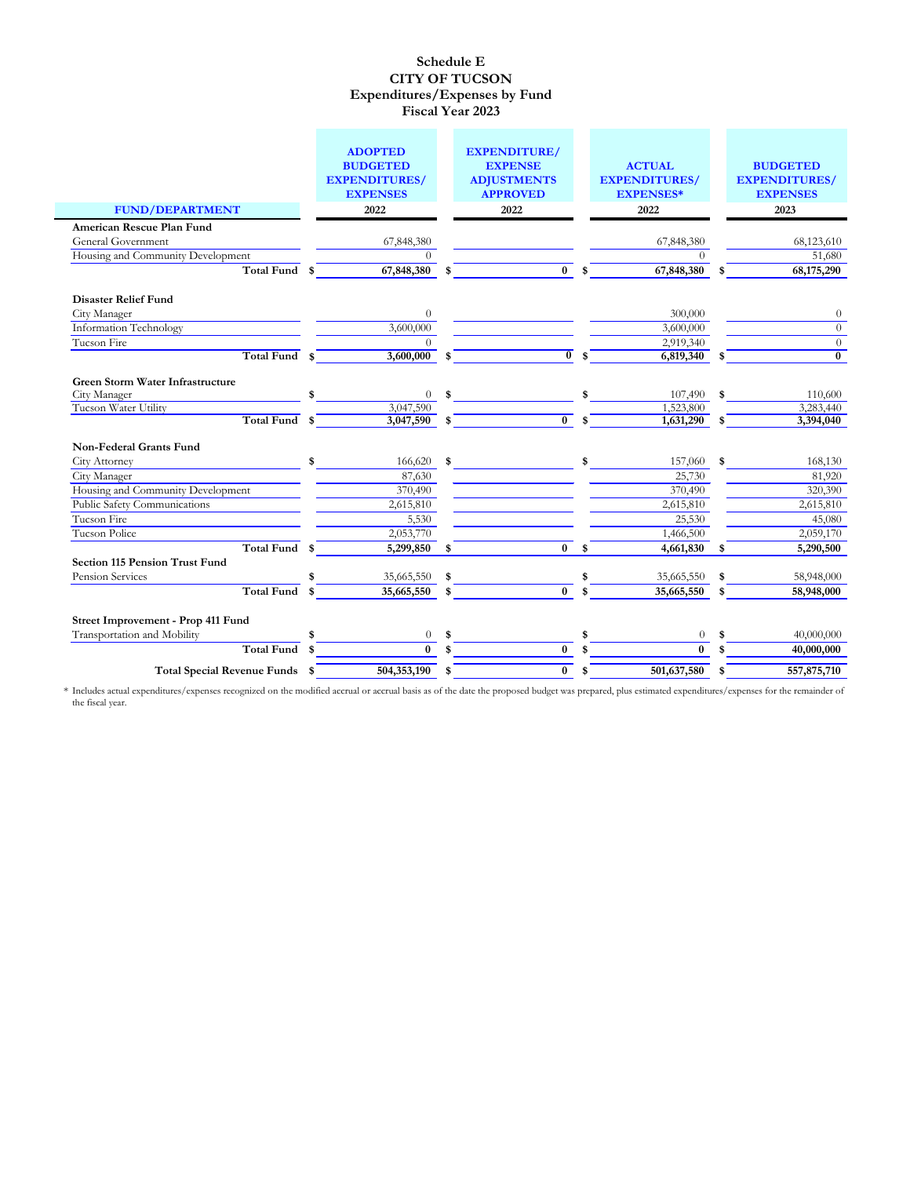|                                         | <b>ADOPTED</b><br><b>BUDGETED</b>       | <b>EXPENDITURE/</b><br><b>EXPENSE</b>                                                                                                                                                                                                                                                                               |              | <b>ACTUAL</b>                            |     | <b>BUDGETED</b>                         |
|-----------------------------------------|-----------------------------------------|---------------------------------------------------------------------------------------------------------------------------------------------------------------------------------------------------------------------------------------------------------------------------------------------------------------------|--------------|------------------------------------------|-----|-----------------------------------------|
|                                         | <b>EXPENDITURES/</b><br><b>EXPENSES</b> | <b>ADJUSTMENTS</b><br><b>APPROVED</b>                                                                                                                                                                                                                                                                               |              | <b>EXPENDITURES/</b><br><b>EXPENSES*</b> |     | <b>EXPENDITURES/</b><br><b>EXPENSES</b> |
| <b>FUND/DEPARTMENT</b>                  | 2022                                    | 2022                                                                                                                                                                                                                                                                                                                |              | 2022                                     |     | 2023                                    |
| American Rescue Plan Fund               |                                         |                                                                                                                                                                                                                                                                                                                     |              |                                          |     |                                         |
| General Government                      | 67,848,380                              |                                                                                                                                                                                                                                                                                                                     |              | 67,848,380                               |     | 68,123,610                              |
| Housing and Community Development       | $\Omega$                                |                                                                                                                                                                                                                                                                                                                     |              | $\Omega$                                 |     | 51,680                                  |
| <b>Total Fund</b>                       | \$<br>67,848,380                        | \$<br>$\overline{\mathbf{0}}$                                                                                                                                                                                                                                                                                       | $\mathbf{s}$ | 67,848,380                               |     | 68,175,290                              |
| <b>Disaster Relief Fund</b>             |                                         |                                                                                                                                                                                                                                                                                                                     |              |                                          |     |                                         |
| City Manager                            | $\overline{0}$                          |                                                                                                                                                                                                                                                                                                                     |              | 300,000                                  |     | $\theta$                                |
| <b>Information Technology</b>           | 3,600,000                               |                                                                                                                                                                                                                                                                                                                     |              | 3,600,000                                |     | $\theta$                                |
| Tucson Fire                             | $\Omega$                                |                                                                                                                                                                                                                                                                                                                     |              | 2,919,340                                |     | $\overline{0}$                          |
| <b>Total Fund</b>                       | \$<br>3,600,000                         | \$<br>$\overline{0}$                                                                                                                                                                                                                                                                                                | \$           | 6,819,340                                | \$  | $\overline{0}$                          |
| <b>Green Storm Water Infrastructure</b> |                                         |                                                                                                                                                                                                                                                                                                                     |              |                                          |     |                                         |
| City Manager                            | $\overline{0}$                          | $\frac{1}{2}$ $\frac{1}{2}$ $\frac{1}{2}$ $\frac{1}{2}$ $\frac{1}{2}$ $\frac{1}{2}$ $\frac{1}{2}$ $\frac{1}{2}$ $\frac{1}{2}$ $\frac{1}{2}$ $\frac{1}{2}$ $\frac{1}{2}$ $\frac{1}{2}$ $\frac{1}{2}$ $\frac{1}{2}$ $\frac{1}{2}$ $\frac{1}{2}$ $\frac{1}{2}$ $\frac{1}{2}$ $\frac{1}{2}$ $\frac{1}{2}$ $\frac{1}{2}$ |              | 107,490                                  | \$  | 110,600                                 |
| Tucson Water Utility                    | 3,047,590                               | $\overline{0}$                                                                                                                                                                                                                                                                                                      |              | 1,523,800                                |     | 3,283,440                               |
| <b>Total Fund</b>                       | \$<br>3,047,590                         | \$                                                                                                                                                                                                                                                                                                                  | $\mathbf{s}$ | 1,631,290                                | \$  | 3,394,040                               |
| <b>Non-Federal Grants Fund</b>          |                                         |                                                                                                                                                                                                                                                                                                                     |              |                                          |     |                                         |
| City Attorney                           | \$<br>166,620                           | \$                                                                                                                                                                                                                                                                                                                  | \$           | 157,060                                  | \$. | 168,130                                 |
| City Manager                            | 87,630                                  |                                                                                                                                                                                                                                                                                                                     |              | 25,730                                   |     | 81,920                                  |
| Housing and Community Development       | 370,490                                 |                                                                                                                                                                                                                                                                                                                     |              | 370,490                                  |     | 320,390                                 |
| Public Safety Communications            | 2,615,810                               |                                                                                                                                                                                                                                                                                                                     |              | 2,615,810                                |     | 2,615,810                               |
| Tucson Fire                             | 5,530                                   |                                                                                                                                                                                                                                                                                                                     |              | 25,530                                   |     | 45,080                                  |
| Tucson Police                           | 2,053,770                               |                                                                                                                                                                                                                                                                                                                     |              | 1,466,500                                |     | 2,059,170                               |
| <b>Total Fund</b>                       | \$<br>5,299,850                         | \$<br>$\mathbf{0}$                                                                                                                                                                                                                                                                                                  | \$           | 4,661,830                                | \$  | 5,290,500                               |
| <b>Section 115 Pension Trust Fund</b>   |                                         |                                                                                                                                                                                                                                                                                                                     |              |                                          |     |                                         |
| Pension Services                        | 35,665,550                              | \$                                                                                                                                                                                                                                                                                                                  | \$           | 35,665,550                               |     | 58,948,000                              |
| <b>Total Fund</b>                       | \$<br>35,665,550                        | \$<br>$\overline{0}$                                                                                                                                                                                                                                                                                                | \$           | 35,665,550                               | \$  | 58,948,000                              |
| Street Improvement - Prop 411 Fund      |                                         |                                                                                                                                                                                                                                                                                                                     |              |                                          |     |                                         |
| Transportation and Mobility             | \$<br>$\theta$                          | \$                                                                                                                                                                                                                                                                                                                  | \$           | $\theta$                                 |     | 40,000,000                              |
| <b>Total Fund</b>                       | \$<br>$\mathbf{0}$                      | \$<br>$\bf{0}$                                                                                                                                                                                                                                                                                                      |              | $\mathbf{0}$                             |     | 40,000,000                              |
| Total Special Revenue Funds \$          | 504,353,190                             | \$<br>$\bf{0}$                                                                                                                                                                                                                                                                                                      | \$           | 501,637,580                              | \$  | 557,875,710                             |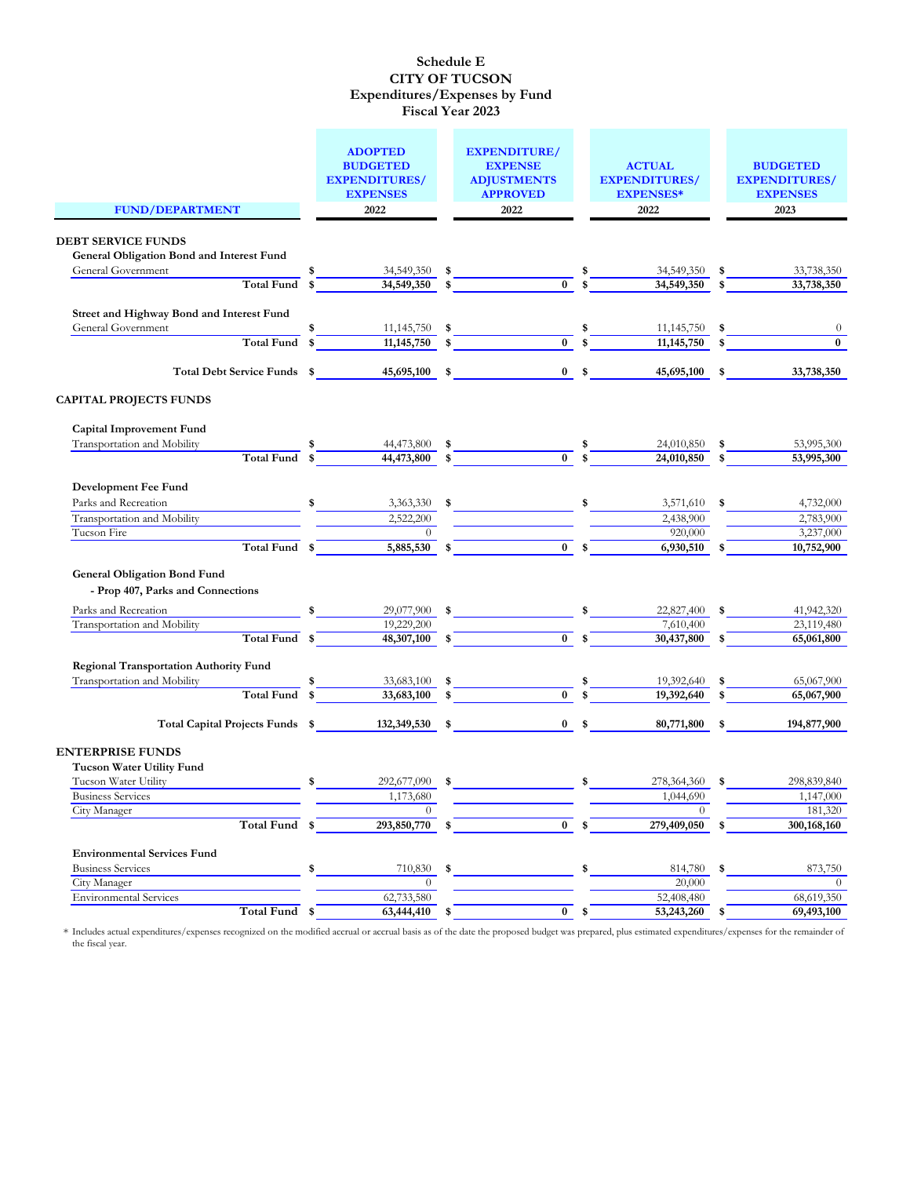|                                                  | <b>ADOPTED</b><br><b>BUDGETED</b> |     | <b>EXPENDITURE/</b><br><b>EXPENSE</b> |     | <b>ACTUAL</b>           |    | <b>BUDGETED</b>          |
|--------------------------------------------------|-----------------------------------|-----|---------------------------------------|-----|-------------------------|----|--------------------------|
|                                                  | <b>EXPENDITURES/</b>              |     | <b>ADJUSTMENTS</b>                    |     | <b>EXPENDITURES/</b>    |    | <b>EXPENDITURES/</b>     |
|                                                  | <b>EXPENSES</b>                   |     | <b>APPROVED</b>                       |     | <b>EXPENSES*</b>        |    | <b>EXPENSES</b>          |
| <b>FUND/DEPARTMENT</b>                           | 2022                              |     | 2022                                  |     | 2022                    |    | 2023                     |
|                                                  |                                   |     |                                       |     |                         |    |                          |
| <b>DEBT SERVICE FUNDS</b>                        |                                   |     |                                       |     |                         |    |                          |
| <b>General Obligation Bond and Interest Fund</b> |                                   |     |                                       |     |                         |    |                          |
| General Government                               | \$<br>34,549,350                  | \$  |                                       | \$  | 34,549,350              | \$ | 33,738,350               |
| Total Fund \$                                    | 34,549,350                        | \$  | $\mathbf{0}$                          | \$  | 34,549,350              | \$ | 33,738,350               |
|                                                  |                                   |     |                                       |     |                         |    |                          |
| Street and Highway Bond and Interest Fund        |                                   |     |                                       |     |                         |    |                          |
| General Government                               | \$<br>11,145,750                  | \$  |                                       | \$  | 11,145,750              | S. | $\theta$                 |
| Total Fund                                       | \$<br>11, 145, 750                | \$  | $\bf{0}$                              | \$  | 11,145,750              | \$ | $\bf{0}$                 |
| Total Debt Service Funds \$                      | 45,695,100                        | \$  | $\bf{0}$                              | \$  | 45,695,100              | \$ | 33,738,350               |
| <b>CAPITAL PROJECTS FUNDS</b>                    |                                   |     |                                       |     |                         |    |                          |
| <b>Capital Improvement Fund</b>                  |                                   |     |                                       |     |                         |    |                          |
| Transportation and Mobility                      | 44,473,800                        | \$  |                                       | \$  | 24,010,850              | \$ | 53,995,300               |
| <b>Total Fund</b>                                | \$<br>44,473,800                  | \$  | $\bf{0}$                              | \$  | 24,010,850              |    | 53,995,300               |
|                                                  |                                   |     |                                       |     |                         |    |                          |
| Development Fee Fund                             |                                   |     |                                       |     |                         |    |                          |
| Parks and Recreation                             | \$<br>3,363,330                   | -\$ |                                       | \$  | 3,571,610               | \$ | 4,732,000                |
| Transportation and Mobility                      | 2,522,200                         |     |                                       |     | 2,438,900               |    | 2,783,900                |
| Tucson Fire                                      | $\Omega$                          |     |                                       |     | 920,000                 |    | 3,237,000                |
| Total Fund \$                                    | 5,885,530                         | \$  | $\bf{0}$                              | \$  | 6,930,510               | \$ | 10,752,900               |
| <b>General Obligation Bond Fund</b>              |                                   |     |                                       |     |                         |    |                          |
| - Prop 407, Parks and Connections                |                                   |     |                                       |     |                         |    |                          |
|                                                  |                                   |     |                                       |     |                         |    |                          |
| Parks and Recreation                             | \$<br>29,077,900                  | \$  |                                       | \$  | 22,827,400              | \$ | 41,942,320               |
| Transportation and Mobility<br>Total Fund \$     | 19,229,200<br>48,307,100          |     | $\mathbf{0}$                          | \$  | 7,610,400<br>30,437,800 |    | 23,119,480<br>65,061,800 |
|                                                  |                                   |     |                                       |     |                         |    |                          |
| <b>Regional Transportation Authority Fund</b>    |                                   |     |                                       |     |                         |    |                          |
| Transportation and Mobility                      | 33,683,100                        | \$  |                                       | \$  | 19,392,640              |    | 65,067,900               |
| Total Fund                                       | \$<br>33,683,100                  | \$  | $\bf{0}$                              | \$  | 19,392,640              |    | 65,067,900               |
|                                                  |                                   |     |                                       |     |                         |    |                          |
| Total Capital Projects Funds \$                  | 132,349,530                       | \$  | $\bf{0}$                              | \$  | 80,771,800              | S. | 194,877,900              |
| <b>ENTERPRISE FUNDS</b>                          |                                   |     |                                       |     |                         |    |                          |
| <b>Tucson Water Utility Fund</b>                 |                                   |     |                                       |     |                         |    |                          |
| Tucson Water Utility                             | \$<br>292,677,090                 | \$  |                                       | \$  | 278,364,360             |    | 298,839,840              |
| <b>Business Services</b>                         | 1,173,680                         |     |                                       |     | 1,044,690               |    | 1,147,000                |
| City Manager                                     | $\Omega$                          |     |                                       |     | $\Omega$                |    | 181,320                  |
| Total Fund \$                                    | 293,850,770                       | \$  | $\overline{0}$                        | \$. | 279,409,050             |    | 300,168,160              |
|                                                  |                                   |     |                                       |     |                         |    |                          |
| <b>Environmental Services Fund</b>               |                                   |     |                                       |     |                         |    |                          |
| <b>Business Services</b>                         | \$<br>710,830                     | \$  |                                       | \$  | 814,780                 | \$ | 873,750                  |
| City Manager                                     | $\theta$                          |     |                                       |     | 20,000                  |    | $\theta$                 |
| <b>Environmental Services</b>                    | 62,733,580                        |     |                                       |     | 52,408,480              |    | 68,619,350               |
| Total Fund \$                                    | 63,444,410                        | \$  | $\bf{0}$                              | \$  | 53,243,260 \$           |    | 69,493,100               |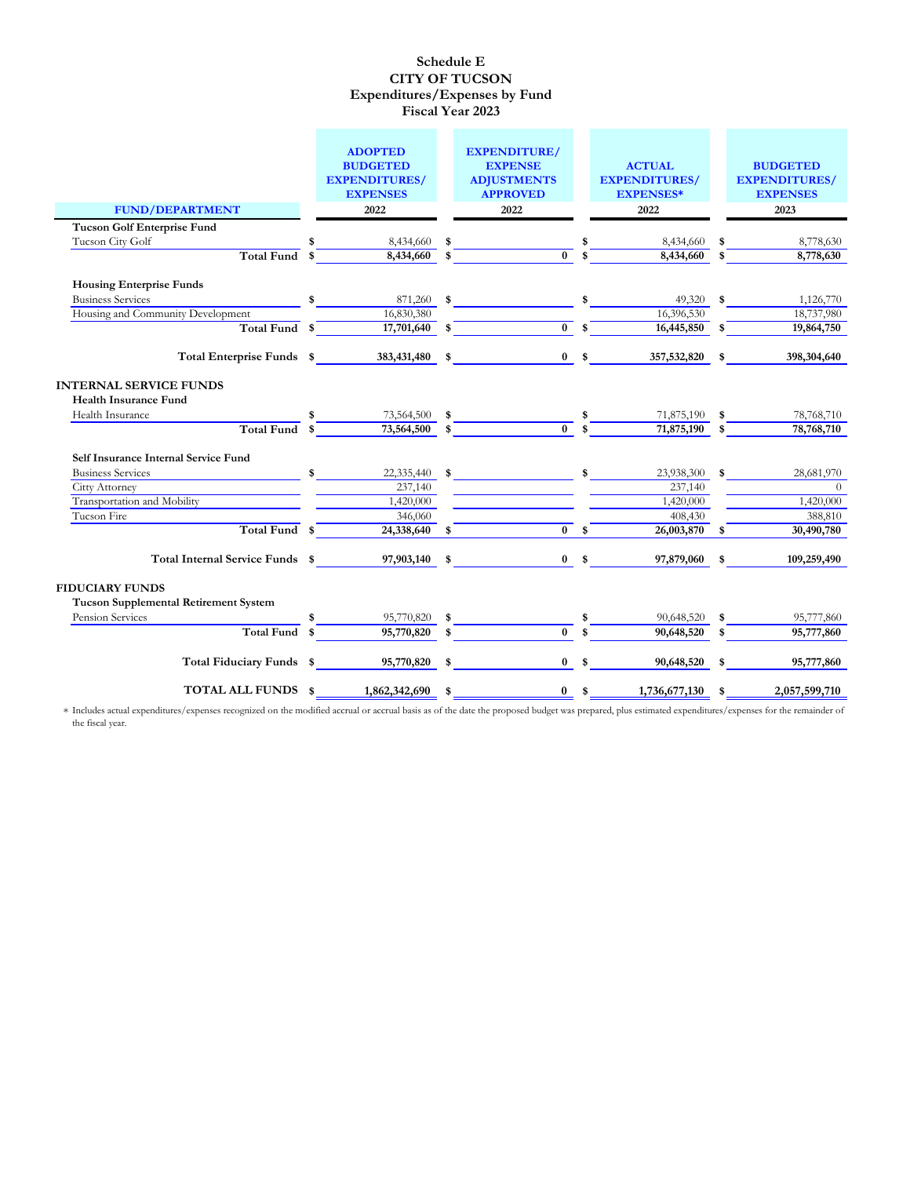|                                                               |               | <b>ADOPTED</b><br><b>BUDGETED</b><br><b>EXPENDITURES/</b> |                   | <b>EXPENDITURE/</b><br><b>EXPENSE</b><br><b>ADJUSTMENTS</b> |                           | <b>ACTUAL</b><br><b>EXPENDITURES/</b> |              | <b>BUDGETED</b><br><b>EXPENDITURES/</b> |
|---------------------------------------------------------------|---------------|-----------------------------------------------------------|-------------------|-------------------------------------------------------------|---------------------------|---------------------------------------|--------------|-----------------------------------------|
|                                                               |               | <b>EXPENSES</b>                                           |                   | <b>APPROVED</b>                                             |                           | <b>EXPENSES*</b>                      |              | <b>EXPENSES</b>                         |
| <b>FUND/DEPARTMENT</b>                                        |               | 2022                                                      |                   | 2022                                                        |                           | 2022                                  |              | 2023                                    |
| <b>Tucson Golf Enterprise Fund</b>                            |               |                                                           |                   |                                                             |                           |                                       |              |                                         |
| Tucson City Golf                                              |               | 8,434,660                                                 | \$                |                                                             | \$                        | 8,434,660                             | - \$         | 8,778,630                               |
| Total Fund \$                                                 |               | 8,434,660                                                 | \$                | $\overline{0}$                                              | $\mathbf{\hat{s}}$        | 8,434,660                             | $\mathbf{s}$ | 8,778,630                               |
| <b>Housing Enterprise Funds</b>                               |               |                                                           |                   |                                                             |                           |                                       |              |                                         |
| <b>Business Services</b>                                      | \$            | 871,260                                                   | \$                |                                                             | \$                        | 49,320                                | \$           | 1,126,770                               |
| Housing and Community Development                             |               | 16,830,380                                                |                   |                                                             |                           | 16,396,530                            |              | 18,737,980                              |
| Total Fund \$                                                 |               | 17,701,640                                                | \$                | $\overline{0}$ s                                            |                           | 16,445,850                            | \$           | 19,864,750                              |
| Total Enterprise Funds \$                                     |               | 383,431,480 \$                                            |                   |                                                             | $0 \quad$ \$              | 357,532,820 \$                        |              | 398,304,640                             |
| <b>INTERNAL SERVICE FUNDS</b><br><b>Health Insurance Fund</b> |               |                                                           |                   |                                                             |                           |                                       |              |                                         |
| Health Insurance                                              |               | 73,564,500                                                | \$                |                                                             | \$                        | 71,875,190                            | \$           | 78,768,710                              |
| Total Fund                                                    |               | 73,564,500                                                |                   | $\overline{0}$ s                                            |                           | 71,875,190                            | $\mathbf{s}$ | 78,768,710                              |
| Self Insurance Internal Service Fund                          |               |                                                           |                   |                                                             |                           |                                       |              |                                         |
| <b>Business Services</b>                                      | $\frac{1}{2}$ | 22,335,440                                                | \$                |                                                             | \$                        | 23,938,300                            | \$           | 28,681,970                              |
| Citty Attorney                                                |               | 237,140                                                   |                   |                                                             |                           | 237,140                               |              | $\overline{0}$                          |
| Transportation and Mobility                                   |               | 1,420,000                                                 |                   |                                                             |                           | 1,420,000                             |              | 1,420,000                               |
| Tucson Fire                                                   |               | 346,060                                                   |                   |                                                             |                           | 408,430                               |              | 388,810                                 |
| Total Fund \$                                                 |               | 24,338,640                                                | \$                | $\mathbf{0}$                                                | $\boldsymbol{\mathsf{s}}$ | 26,003,870                            | \$           | 30,490,780                              |
| Total Internal Service Funds \$                               |               | 97,903,140 \$                                             |                   |                                                             | $0 \quad$ \$              | 97,879,060                            | \$           | 109,259,490                             |
| <b>FIDUCIARY FUNDS</b>                                        |               |                                                           |                   |                                                             |                           |                                       |              |                                         |
| <b>Tucson Supplemental Retirement System</b>                  |               |                                                           |                   |                                                             |                           |                                       |              |                                         |
| Pension Services                                              | \$            | 95,770,820                                                | \$                |                                                             | \$                        | 90,648,520                            | \$           | 95,777,860                              |
| <b>Total Fund</b>                                             | -\$           | 95,770,820                                                | $\boldsymbol{\$}$ | $\mathbf{0}$                                                | $\mathbf{\hat{s}}$        | 90,648,520                            | $\mathbf{s}$ | 95,777,860                              |
| Total Fiduciary Funds \$                                      |               | 95,770,820                                                | \$                | $0 \quad$ \$                                                |                           | 90,648,520                            | \$           | 95,777,860                              |
| TOTAL ALL FUNDS \$                                            |               | 1,862,342,690                                             | \$                |                                                             | $0 \quad$ \$              | 1,736,677,130                         | \$           | 2,057,599,710                           |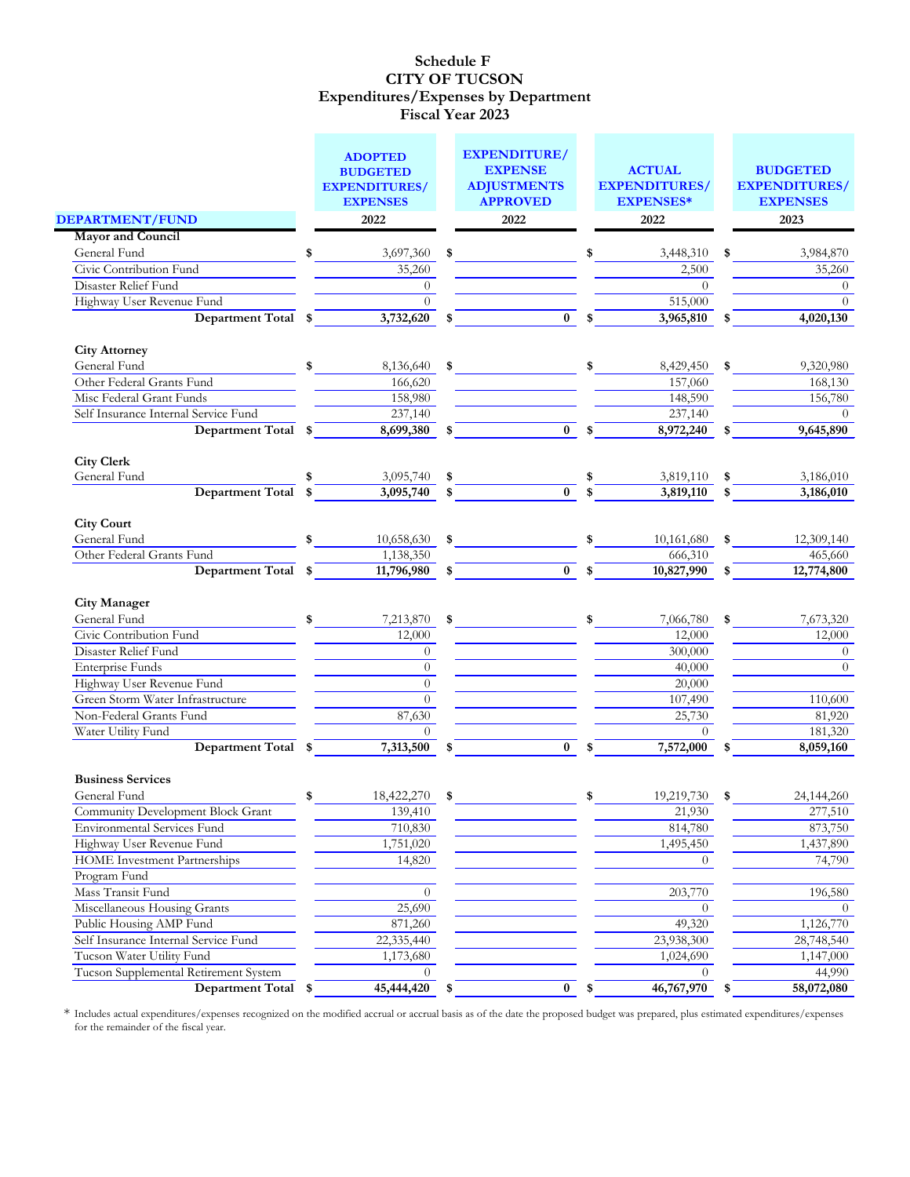|                                       | <b>EXPENDITURE/</b><br><b>ADOPTED</b><br><b>EXPENSE</b><br><b>BUDGETED</b> |    |                                       |    | <b>ACTUAL</b>                            |    | <b>BUDGETED</b>                         |
|---------------------------------------|----------------------------------------------------------------------------|----|---------------------------------------|----|------------------------------------------|----|-----------------------------------------|
|                                       | <b>EXPENDITURES/</b><br><b>EXPENSES</b>                                    |    | <b>ADJUSTMENTS</b><br><b>APPROVED</b> |    | <b>EXPENDITURES/</b><br><b>EXPENSES*</b> |    | <b>EXPENDITURES/</b><br><b>EXPENSES</b> |
| DEPARTMENT/FUND                       | 2022                                                                       |    | 2022                                  |    | 2022                                     |    | 2023                                    |
| <b>Mayor and Council</b>              |                                                                            |    |                                       |    |                                          |    |                                         |
| General Fund                          | \$<br>3,697,360                                                            | \$ |                                       | \$ | 3,448,310                                | \$ | 3,984,870                               |
| Civic Contribution Fund               | 35,260                                                                     |    |                                       |    | 2,500                                    |    | 35,260                                  |
| Disaster Relief Fund                  | $\overline{0}$                                                             |    |                                       |    | $\Omega$                                 |    | $\overline{0}$                          |
| Highway User Revenue Fund             | $\Omega$                                                                   |    |                                       |    | 515,000                                  |    | $\Omega$                                |
| <b>Department Total</b>               | \$<br>3,732,620                                                            | \$ | $\bf{0}$                              |    | 3,965,810                                |    | 4,020,130                               |
| <b>City Attorney</b>                  |                                                                            |    |                                       |    |                                          |    |                                         |
| General Fund                          | \$<br>8,136,640                                                            | \$ |                                       | \$ | 8,429,450                                |    | 9,320,980                               |
| Other Federal Grants Fund             | 166,620                                                                    |    |                                       |    | 157,060                                  |    | 168,130                                 |
| Misc Federal Grant Funds              | 158,980                                                                    |    |                                       |    | 148,590                                  |    | 156,780                                 |
| Self Insurance Internal Service Fund  | 237,140                                                                    |    |                                       |    | 237,140                                  |    | $\Omega$                                |
| <b>Department Total</b>               | \$<br>8,699,380                                                            | \$ | $\bf{0}$                              |    | 8,972,240                                |    | 9,645,890                               |
| <b>City Clerk</b>                     |                                                                            |    |                                       |    |                                          |    |                                         |
| General Fund                          | \$<br>3,095,740                                                            | \$ |                                       | \$ | 3,819,110                                | \$ | 3,186,010                               |
| Department Total                      | \$<br>3,095,740                                                            | \$ | $\mathbf{0}$                          | \$ | 3,819,110                                | \$ | 3,186,010                               |
| <b>City Court</b><br>General Fund     | \$                                                                         |    |                                       |    |                                          | \$ |                                         |
| Other Federal Grants Fund             | 10,658,630<br>1,138,350                                                    | S. |                                       |    | 10,161,680<br>666,310                    |    | 12,309,140<br>465,660                   |
| <b>Department Total</b>               | \$<br>11,796,980                                                           | \$ | $\bf{0}$                              | \$ | 10,827,990                               |    | 12,774,800                              |
|                                       |                                                                            |    |                                       |    |                                          |    |                                         |
| <b>City Manager</b><br>General Fund   | \$                                                                         |    |                                       |    |                                          |    |                                         |
| Civic Contribution Fund               | 7,213,870<br>12,000                                                        | \$ |                                       | \$ | 7,066,780<br>12,000                      | \$ | 7,673,320<br>12,000                     |
| Disaster Relief Fund                  | $\overline{0}$                                                             |    |                                       |    | 300,000                                  |    | $\overline{0}$                          |
| <b>Enterprise Funds</b>               | $\overline{0}$                                                             |    |                                       |    | 40,000                                   |    | $\Omega$                                |
| Highway User Revenue Fund             | $\overline{0}$                                                             |    |                                       |    | 20,000                                   |    |                                         |
| Green Storm Water Infrastructure      | $\boldsymbol{0}$                                                           |    |                                       |    | 107,490                                  |    | 110,600                                 |
| Non-Federal Grants Fund               | 87,630                                                                     |    |                                       |    | 25,730                                   |    | 81,920                                  |
| Water Utility Fund                    | $\Omega$                                                                   |    |                                       |    | $\Omega$                                 |    | 181,320                                 |
| Department Total \$                   | 7,313,500                                                                  | \$ | $\bf{0}$                              | \$ | 7,572,000                                | \$ | 8,059,160                               |
| <b>Business Services</b>              |                                                                            |    |                                       |    |                                          |    |                                         |
| General Fund                          | \$<br>18,422,270                                                           | \$ |                                       | \$ | 19,219,730                               | \$ | 24,144,260                              |
| Community Development Block Grant     | 139,410                                                                    |    |                                       |    | 21,930                                   |    | 277,510                                 |
| <b>Environmental Services Fund</b>    | 710,830                                                                    |    |                                       |    | 814,780                                  |    | 873,750                                 |
| Highway User Revenue Fund             | 1,751,020                                                                  |    |                                       |    | 1,495,450                                |    | 1,437,890                               |
| <b>HOME</b> Investment Partnerships   | 14,820                                                                     |    |                                       |    | $\theta$                                 |    | 74,790                                  |
| Program Fund                          |                                                                            |    |                                       |    |                                          |    |                                         |
| Mass Transit Fund                     | $\overline{0}$                                                             |    |                                       |    | 203,770                                  |    | 196,580                                 |
| Miscellaneous Housing Grants          | 25,690                                                                     |    |                                       |    | $\Omega$                                 |    | $\Omega$                                |
| Public Housing AMP Fund               | 871,260                                                                    |    |                                       |    | 49,320                                   |    | 1,126,770                               |
| Self Insurance Internal Service Fund  | 22,335,440                                                                 |    |                                       |    | 23,938,300                               |    | 28,748,540                              |
| Tucson Water Utility Fund             | 1,173,680                                                                  |    |                                       |    | 1,024,690                                |    | 1,147,000                               |
| Tucson Supplemental Retirement System | $\Omega$                                                                   |    |                                       |    | $\Omega$                                 |    | 44,990                                  |
| Department Total \$                   | 45,444,420                                                                 | \$ | $\bf{0}$                              | \$ | 46,767,970                               | S. | 58,072,080                              |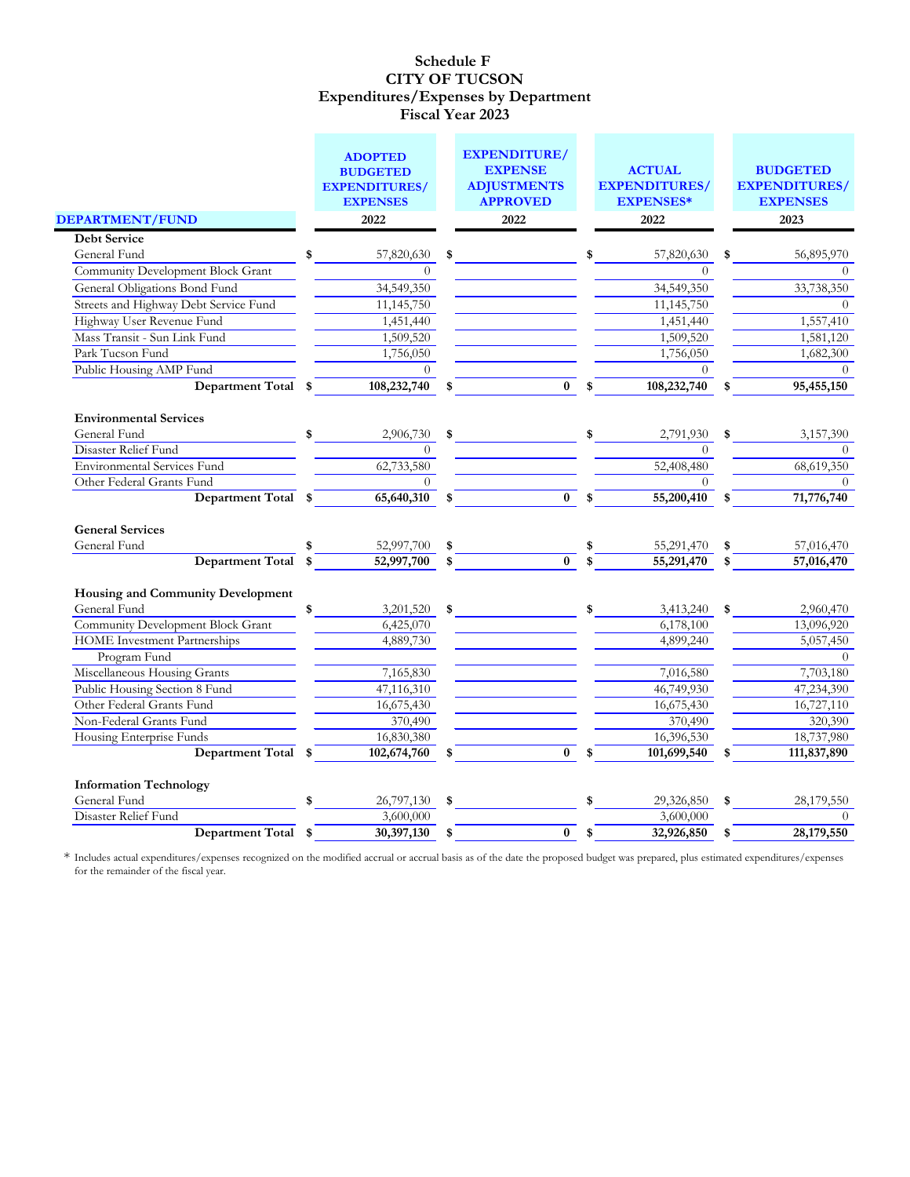|                                                               | <b>ADOPTED</b><br><b>BUDGETED</b><br><b>EXPENDITURES/</b><br><b>EXPENSES</b> | <b>EXPENDITURE/</b><br><b>EXPENSE</b><br><b>ADJUSTMENTS</b><br><b>APPROVED</b> |    | <b>ACTUAL</b><br><b>EXPENDITURES/</b><br><b>EXPENSES*</b> |    | <b>BUDGETED</b><br><b>EXPENDITURES/</b><br><b>EXPENSES</b> |
|---------------------------------------------------------------|------------------------------------------------------------------------------|--------------------------------------------------------------------------------|----|-----------------------------------------------------------|----|------------------------------------------------------------|
| DEPARTMENT/FUND                                               | 2022                                                                         | 2022                                                                           |    | 2022                                                      |    | 2023                                                       |
| <b>Debt Service</b>                                           |                                                                              |                                                                                |    |                                                           |    |                                                            |
| General Fund                                                  | \$<br>57,820,630                                                             | \$                                                                             |    | 57,820,630                                                | \$ | 56,895,970                                                 |
| Community Development Block Grant                             | $\Omega$                                                                     |                                                                                |    | $\Omega$                                                  |    |                                                            |
| General Obligations Bond Fund                                 | 34,549,350                                                                   |                                                                                |    | 34,549,350                                                |    | 33,738,350                                                 |
| Streets and Highway Debt Service Fund                         | 11,145,750                                                                   |                                                                                |    | 11,145,750                                                |    | $\theta$                                                   |
| Highway User Revenue Fund                                     | 1,451,440                                                                    |                                                                                |    | 1,451,440                                                 |    | 1,557,410                                                  |
| Mass Transit - Sun Link Fund                                  | 1,509,520                                                                    |                                                                                |    | 1,509,520                                                 |    | 1,581,120                                                  |
| Park Tucson Fund                                              | 1,756,050                                                                    |                                                                                |    | 1,756,050                                                 |    | 1,682,300                                                  |
| Public Housing AMP Fund                                       |                                                                              |                                                                                |    |                                                           |    | $\Omega$                                                   |
| <b>Department Total</b>                                       | \$<br>108,232,740                                                            | \$<br>$\bf{0}$                                                                 | \$ | 108,232,740                                               | \$ | 95,455,150                                                 |
| <b>Environmental Services</b>                                 |                                                                              |                                                                                |    |                                                           |    |                                                            |
| General Fund                                                  | \$<br>2,906,730                                                              | \$                                                                             | \$ | 2,791,930                                                 | \$ | 3,157,390                                                  |
| Disaster Relief Fund                                          | $\Omega$                                                                     |                                                                                |    | $\Omega$                                                  |    | $\Omega$                                                   |
| <b>Environmental Services Fund</b>                            | 62,733,580                                                                   |                                                                                |    | 52,408,480                                                |    | 68,619,350                                                 |
| Other Federal Grants Fund                                     | $\theta$                                                                     |                                                                                |    | $\left( \right)$                                          |    | $\Omega$                                                   |
| <b>Department Total</b>                                       | \$<br>65,640,310                                                             | \$<br>$\bf{0}$                                                                 | \$ | 55,200,410                                                |    | 71,776,740                                                 |
| <b>General Services</b>                                       |                                                                              |                                                                                |    |                                                           |    |                                                            |
| General Fund                                                  | 52,997,700                                                                   | \$                                                                             |    | 55,291,470                                                | \$ | 57,016,470                                                 |
| <b>Department Total</b>                                       | \$<br>52,997,700                                                             | \$<br>$\mathbf{0}$                                                             |    | 55,291,470                                                | \$ | 57,016,470                                                 |
| <b>Housing and Community Development</b>                      |                                                                              |                                                                                |    |                                                           |    |                                                            |
| General Fund                                                  | 3,201,520                                                                    | \$                                                                             |    | 3,413,240                                                 | \$ | 2,960,470                                                  |
| <b>Community Development Block Grant</b>                      | 6,425,070                                                                    |                                                                                |    | 6,178,100                                                 |    | 13,096,920                                                 |
| <b>HOME</b> Investment Partnerships                           | 4,889,730                                                                    |                                                                                |    | 4,899,240                                                 |    | 5,057,450                                                  |
| Program Fund                                                  |                                                                              |                                                                                |    |                                                           |    | $\Omega$                                                   |
| Miscellaneous Housing Grants<br>Public Housing Section 8 Fund | 7,165,830                                                                    |                                                                                |    | 7,016,580                                                 |    | 7,703,180                                                  |
|                                                               | 47,116,310                                                                   |                                                                                |    | 46,749,930                                                |    | 47,234,390                                                 |
| Other Federal Grants Fund<br>Non-Federal Grants Fund          | 16,675,430<br>370,490                                                        |                                                                                |    | 16,675,430<br>370,490                                     |    | 16,727,110                                                 |
|                                                               |                                                                              |                                                                                |    |                                                           |    | 320,390                                                    |
| Housing Enterprise Funds                                      | 16,830,380                                                                   |                                                                                |    | 16,396,530                                                |    | 18,737,980                                                 |
| Department Total                                              | \$<br>102,674,760                                                            | \$<br>$\bf{0}$                                                                 | \$ | 101,699,540                                               | S  | 111,837,890                                                |
| <b>Information Technology</b><br>General Fund                 | \$                                                                           |                                                                                | \$ |                                                           |    |                                                            |
| Disaster Relief Fund                                          | 26,797,130<br>3,600,000                                                      | \$                                                                             |    | 29,326,850<br>3,600,000                                   | S  | 28,179,550<br>$\theta$                                     |
| <b>Department Total</b>                                       | \$<br>30,397,130                                                             | $\bf{0}$                                                                       | S. | 32,926,850                                                |    | 28,179,550                                                 |
|                                                               |                                                                              | \$                                                                             |    |                                                           | S  |                                                            |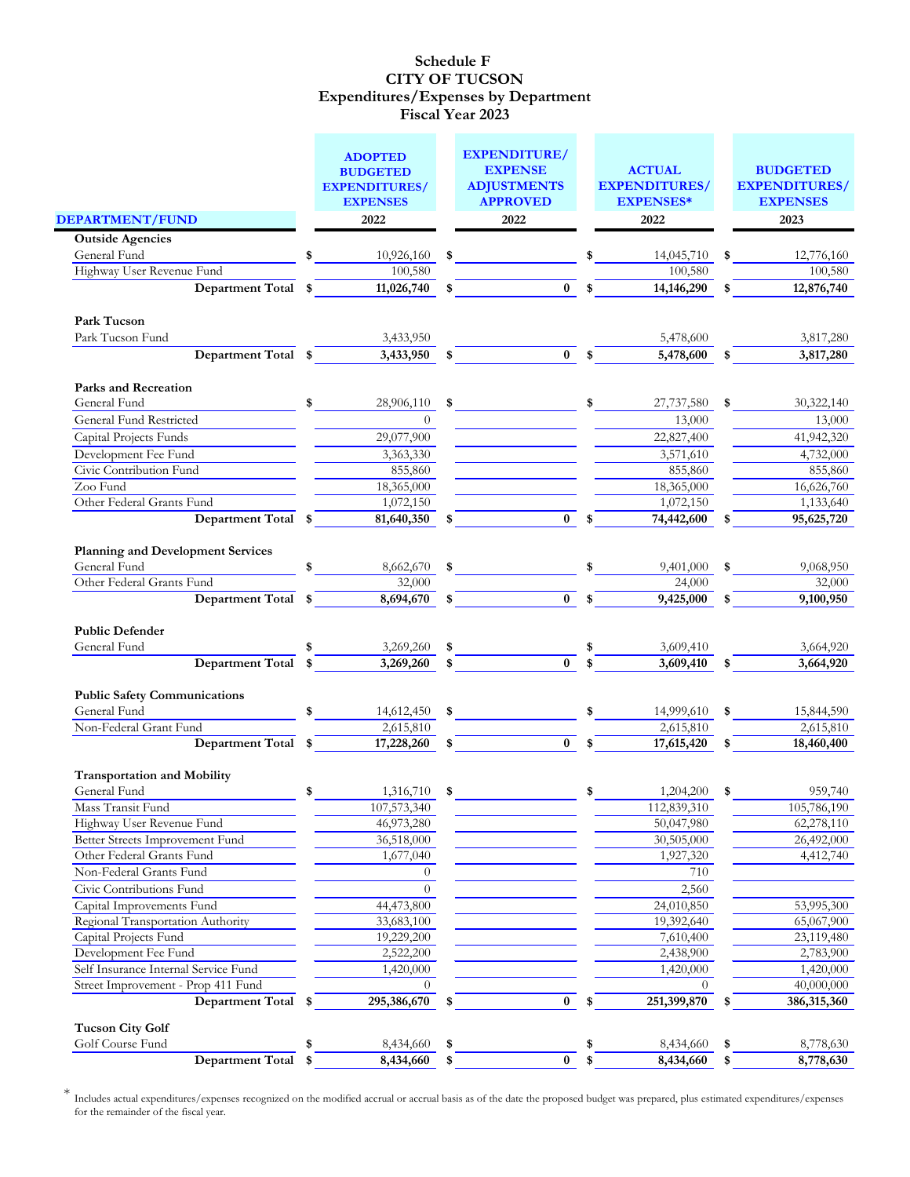|                                                                                       | <b>ADOPTED</b><br><b>BUDGETED</b>       |          | <b>EXPENDITURE/</b><br><b>EXPENSE</b> |              | <b>ACTUAL</b>                            |    | <b>BUDGETED</b>                         |
|---------------------------------------------------------------------------------------|-----------------------------------------|----------|---------------------------------------|--------------|------------------------------------------|----|-----------------------------------------|
|                                                                                       | <b>EXPENDITURES/</b><br><b>EXPENSES</b> |          | <b>ADJUSTMENTS</b><br><b>APPROVED</b> |              | <b>EXPENDITURES/</b><br><b>EXPENSES*</b> |    | <b>EXPENDITURES/</b><br><b>EXPENSES</b> |
| <b>DEPARTMENT/FUND</b>                                                                | 2022                                    |          | 2022                                  |              | 2022                                     |    | 2023                                    |
| <b>Outside Agencies</b>                                                               |                                         |          |                                       |              |                                          |    |                                         |
| General Fund                                                                          | 10,926,160                              | \$       |                                       |              | 14,045,710                               | \$ | 12,776,160                              |
| Highway User Revenue Fund                                                             | 100,580                                 |          |                                       |              | 100,580                                  |    | 100,580                                 |
| <b>Department Total</b>                                                               | \$<br>11,026,740                        | \$       | $\bf{0}$                              | \$           | 14,146,290                               |    | 12,876,740                              |
| Park Tucson                                                                           |                                         |          |                                       |              |                                          |    |                                         |
| Park Tucson Fund                                                                      | 3,433,950                               |          |                                       |              | 5,478,600                                |    | 3,817,280                               |
| Department Total                                                                      | \$<br>3,433,950                         | \$       | $\bf{0}$                              | $\mathbf{s}$ | 5,478,600                                | \$ | 3,817,280                               |
| <b>Parks and Recreation</b>                                                           |                                         |          |                                       |              |                                          |    |                                         |
| General Fund                                                                          | \$<br>28,906,110                        | \$       |                                       | \$           | 27,737,580                               | \$ | 30,322,140                              |
| General Fund Restricted                                                               | $\theta$                                |          |                                       |              | 13,000                                   |    | 13,000                                  |
| Capital Projects Funds                                                                | 29,077,900                              |          |                                       |              | 22,827,400                               |    | 41,942,320                              |
| Development Fee Fund                                                                  | 3,363,330                               |          |                                       |              | 3,571,610                                |    | 4,732,000                               |
| Civic Contribution Fund                                                               | 855,860                                 |          |                                       |              | 855,860                                  |    | 855,860                                 |
| Zoo Fund                                                                              | 18,365,000                              |          |                                       |              | 18,365,000                               |    | 16,626,760                              |
| Other Federal Grants Fund                                                             | 1,072,150                               |          |                                       |              | 1,072,150                                |    | 1,133,640                               |
| <b>Department Total</b>                                                               | \$<br>81,640,350                        | \$       | $\bf{0}$                              |              | 74,442,600                               |    | 95,625,720                              |
| <b>Planning and Development Services</b><br>General Fund<br>Other Federal Grants Fund | \$<br>8,662,670<br>32,000               | \$       |                                       | \$           | 9,401,000                                | S  | 9,068,950                               |
| <b>Department Total</b>                                                               | \$<br>8,694,670                         | \$       | $\mathbf{0}$                          | \$           | 24,000<br>9,425,000                      | \$ | 32,000<br>9,100,950                     |
| <b>Public Defender</b><br>General Fund<br><b>Department Total</b>                     | \$<br>3,269,260<br>3,269,260            | \$<br>\$ | $\bf{0}$                              | \$<br>\$     | 3,609,410<br>3,609,410                   | \$ | 3,664,920<br>3,664,920                  |
| <b>Public Safety Communications</b>                                                   |                                         |          |                                       |              |                                          |    |                                         |
| General Fund                                                                          | \$<br>14,612,450                        | -\$      |                                       | \$           | 14,999,610                               | \$ | 15,844,590                              |
| Non-Federal Grant Fund                                                                | 2,615,810                               |          |                                       |              | 2,615,810                                |    | 2,615,810                               |
| Department Total                                                                      | \$<br>17,228,260                        | \$       | $\bf{0}$                              | \$           | 17,615,420                               |    | 18,460,400                              |
| <b>Transportation and Mobility</b>                                                    |                                         |          |                                       |              |                                          |    |                                         |
| General Fund                                                                          | \$<br>1,316,710                         | \$       |                                       | \$           | 1,204,200                                | \$ | 959,740                                 |
| Mass Transit Fund                                                                     | 107,573,340                             |          |                                       |              | 112,839,310                              |    | 105,786,190                             |
| Highway User Revenue Fund                                                             | 46,973,280                              |          |                                       |              | 50,047,980                               |    | 62,278,110                              |
| Better Streets Improvement Fund                                                       | 36,518,000                              |          |                                       |              | 30,505,000                               |    | 26,492,000                              |
| Other Federal Grants Fund                                                             | 1,677,040                               |          |                                       |              | 1,927,320                                |    | 4,412,740                               |
| Non-Federal Grants Fund                                                               | $\overline{0}$                          |          |                                       |              | 710                                      |    |                                         |
| Civic Contributions Fund                                                              | $\theta$                                |          |                                       |              | 2,560                                    |    |                                         |
| Capital Improvements Fund                                                             | 44,473,800                              |          |                                       |              | 24,010,850                               |    | 53,995,300                              |
| Regional Transportation Authority                                                     | 33,683,100                              |          |                                       |              | 19,392,640                               |    | 65,067,900                              |
| Capital Projects Fund                                                                 | 19,229,200                              |          |                                       |              | 7,610,400                                |    | 23,119,480                              |
| Development Fee Fund                                                                  | 2,522,200                               |          |                                       |              | 2,438,900                                |    | 2,783,900                               |
| Self Insurance Internal Service Fund                                                  | 1,420,000                               |          |                                       |              | 1,420,000                                |    | 1,420,000                               |
| Street Improvement - Prop 411 Fund                                                    | $\Omega$                                |          |                                       |              | $\Omega$                                 |    | 40,000,000                              |
| <b>Department Total</b>                                                               | \$<br>295,386,670                       | \$       | $\bf{0}$                              | \$           | 251,399,870                              |    | 386,315,360                             |
| <b>Tucson City Golf</b><br>Golf Course Fund                                           | \$<br>8,434,660                         | \$       |                                       | \$           | 8,434,660                                | \$ | 8,778,630                               |
| <b>Department Total</b>                                                               | \$<br>8,434,660                         | \$       | $\bf{0}$                              | \$           | 8,434,660                                | \$ | 8,778,630                               |
|                                                                                       |                                         |          |                                       |              |                                          |    |                                         |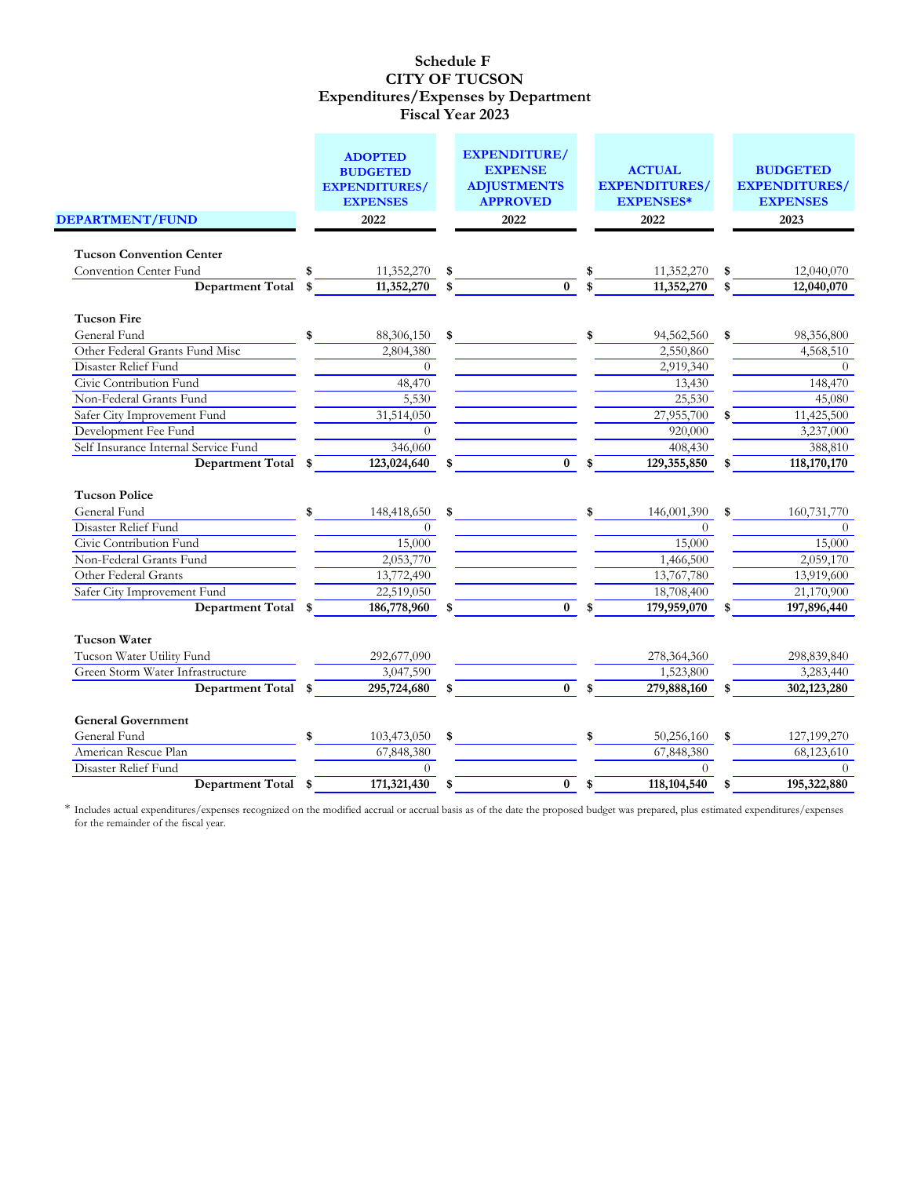|                                      | <b>ADOPTED</b><br><b>BUDGETED</b>       |      | <b>EXPENDITURE/</b><br><b>EXPENSE</b> |               | <b>ACTUAL</b>                            |     | <b>BUDGETED</b>                         |
|--------------------------------------|-----------------------------------------|------|---------------------------------------|---------------|------------------------------------------|-----|-----------------------------------------|
|                                      | <b>EXPENDITURES/</b><br><b>EXPENSES</b> |      | <b>ADJUSTMENTS</b><br><b>APPROVED</b> |               | <b>EXPENDITURES/</b><br><b>EXPENSES*</b> |     | <b>EXPENDITURES/</b><br><b>EXPENSES</b> |
| DEPARTMENT/FUND                      | 2022                                    |      | 2022                                  |               | 2022                                     |     | 2023                                    |
|                                      |                                         |      |                                       |               |                                          |     |                                         |
| <b>Tucson Convention Center</b>      |                                         |      |                                       |               |                                          |     |                                         |
| Convention Center Fund               | \$<br>11,352,270                        | \$   |                                       |               | 11,352,270                               | \$  | 12,040,070                              |
| <b>Department Total</b>              | \$<br>11,352,270                        | \$   | $\bf{0}$                              |               | 11,352,270                               | \$. | 12,040,070                              |
| <b>Tucson Fire</b>                   |                                         |      |                                       |               |                                          |     |                                         |
| General Fund                         | \$<br>88,306,150                        | - \$ |                                       | \$            | 94,562,560                               | \$  | 98,356,800                              |
| Other Federal Grants Fund Misc       | 2,804,380                               |      |                                       |               | 2,550,860                                |     | 4,568,510                               |
| Disaster Relief Fund                 | $\theta$                                |      |                                       |               | 2,919,340                                |     | $\Omega$                                |
| Civic Contribution Fund              | 48,470                                  |      |                                       |               | 13,430                                   |     | 148,470                                 |
| Non-Federal Grants Fund              | 5,530                                   |      |                                       |               | 25,530                                   |     | 45,080                                  |
| Safer City Improvement Fund          | 31,514,050                              |      |                                       |               | 27,955,700                               |     | 11,425,500                              |
| Development Fee Fund                 | $\Omega$                                |      |                                       |               | 920,000                                  |     | 3,237,000                               |
| Self Insurance Internal Service Fund | 346,060                                 |      |                                       |               | 408,430                                  |     | 388,810                                 |
| <b>Department Total</b>              | \$<br>123,024,640                       | \$   | $\bf{0}$                              | \$            | 129,355,850                              | \$  | 118,170,170                             |
| <b>Tucson Police</b>                 |                                         |      |                                       |               |                                          |     |                                         |
| General Fund                         | \$<br>148,418,650                       | \$   |                                       | \$            | 146,001,390                              | \$  | 160,731,770                             |
| Disaster Relief Fund                 | $\overline{0}$                          |      |                                       |               | $\overline{0}$                           |     | $\theta$                                |
| Civic Contribution Fund              | 15,000                                  |      |                                       |               | 15,000                                   |     | 15,000                                  |
| Non-Federal Grants Fund              | 2,053,770                               |      |                                       |               | 1,466,500                                |     | 2,059,170                               |
| Other Federal Grants                 | 13,772,490                              |      |                                       |               | 13,767,780                               |     | 13,919,600                              |
| Safer City Improvement Fund          | 22,519,050                              |      |                                       |               | 18,708,400                               |     | 21,170,900                              |
| <b>Department Total</b>              | \$<br>186,778,960                       |      | $\bf{0}$                              |               | 179,959,070                              |     | 197,896,440                             |
| <b>Tucson Water</b>                  |                                         |      |                                       |               |                                          |     |                                         |
| Tucson Water Utility Fund            | 292,677,090                             |      |                                       |               | 278,364,360                              |     | 298,839,840                             |
| Green Storm Water Infrastructure     | 3,047,590                               |      |                                       |               | 1,523,800                                |     | 3,283,440                               |
| Department Total \$                  | 295,724,680                             | \$   | $\bf{0}$                              | \$            | 279,888,160                              | \$  | 302,123,280                             |
|                                      |                                         |      |                                       |               |                                          |     |                                         |
| <b>General Government</b>            |                                         |      |                                       |               |                                          |     |                                         |
| General Fund                         | \$<br>103,473,050                       | \$   |                                       | \$            | 50,256,160                               | \$  | 127,199,270                             |
| American Rescue Plan                 | 67,848,380                              |      |                                       |               | 67,848,380                               |     | 68,123,610                              |
| Disaster Relief Fund                 | $\Omega$                                |      |                                       |               | $\Omega$                                 |     | $\Omega$                                |
| Department Total \$                  | 171,321,430                             | \$   | $\pmb{0}$                             | $\frac{1}{2}$ | 118, 104, 540                            | \$  | 195,322,880                             |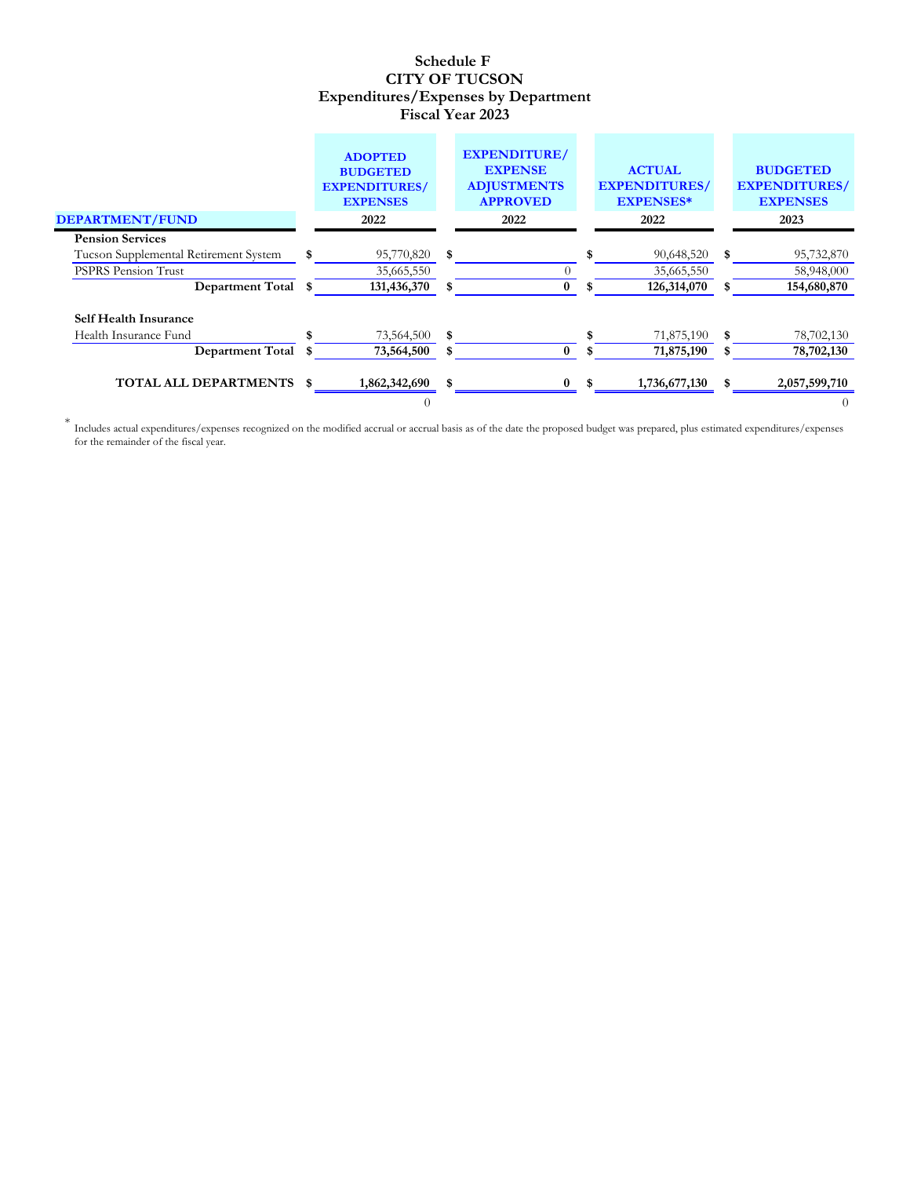|                                       | <b>ADOPTED</b><br><b>BUDGETED</b><br><b>EXPENDITURES/</b><br><b>EXPENSES</b> | <b>EXPENDITURE/</b><br><b>EXPENSE</b><br><b>ADJUSTMENTS</b><br><b>APPROVED</b> |    | <b>ACTUAL</b><br><b>EXPENDITURES/</b><br><b>EXPENSES*</b> |    | <b>BUDGETED</b><br><b>EXPENDITURES/</b><br><b>EXPENSES</b> |
|---------------------------------------|------------------------------------------------------------------------------|--------------------------------------------------------------------------------|----|-----------------------------------------------------------|----|------------------------------------------------------------|
| <b>DEPARTMENT/FUND</b>                | 2022                                                                         | 2022                                                                           |    | 2022                                                      |    | 2023                                                       |
| <b>Pension Services</b>               |                                                                              |                                                                                |    |                                                           |    |                                                            |
| Tucson Supplemental Retirement System | 95,770,820 \$                                                                |                                                                                |    | 90,648,520                                                | S. | 95,732,870                                                 |
| <b>PSPRS Pension Trust</b>            | 35,665,550                                                                   |                                                                                |    | 35,665,550                                                |    | 58,948,000                                                 |
| Department Total \$                   | 131,436,370                                                                  | $\bf{0}$                                                                       | S. | 126,314,070                                               |    | 154,680,870                                                |
| <b>Self Health Insurance</b>          |                                                                              |                                                                                |    |                                                           |    |                                                            |
| Health Insurance Fund                 | 73,564,500 \$                                                                |                                                                                |    | 71,875,190                                                | -S | 78,702,130                                                 |
| <b>Department Total</b>               | 73,564,500                                                                   | $\bf{0}$                                                                       |    | 71,875,190                                                |    | 78,702,130                                                 |
| <b>TOTAL ALL DEPARTMENTS</b>          | \$<br>1,862,342,690                                                          |                                                                                | S. | 1,736,677,130                                             |    | 2,057,599,710                                              |
|                                       |                                                                              |                                                                                |    |                                                           |    | $\theta$                                                   |